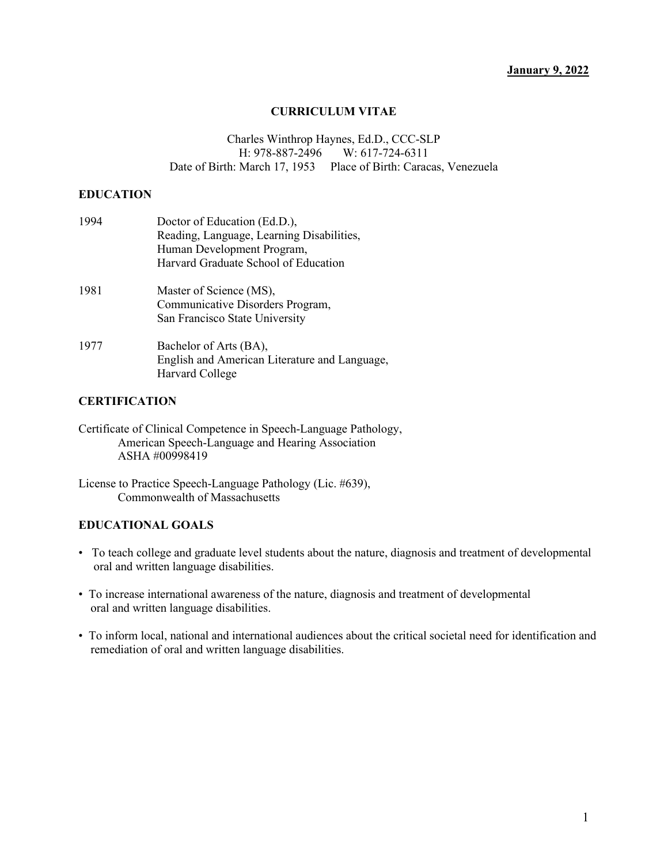#### **January 9, 2022**

#### **CURRICULUM VITAE**

Charles Winthrop Haynes, Ed.D., CCC-SLP<br>H: 978-887-2496 W: 617-724-6311 H: 978-887-2496 Date of Birth: March 17, 1953 Place of Birth: Caracas, Venezuela

#### **EDUCATION**

| 1994 | Doctor of Education (Ed.D.),                  |
|------|-----------------------------------------------|
|      | Reading, Language, Learning Disabilities,     |
|      | Human Development Program,                    |
|      | Harvard Graduate School of Education          |
| 1981 | Master of Science (MS),                       |
|      | Communicative Disorders Program,              |
|      | San Francisco State University                |
| 1977 | Bachelor of Arts (BA),                        |
|      | English and American Literature and Language, |
|      | Harvard College                               |

#### **CERTIFICATION**

#### **EDUCATIONAL GOALS**

- To teach college and graduate level students about the nature, diagnosis and treatment of developmental oral and written language disabilities.
- To increase international awareness of the nature, diagnosis and treatment of developmental oral and written language disabilities.
- To inform local, national and international audiences about the critical societal need for identification and remediation of oral and written language disabilities.

Certificate of Clinical Competence in Speech-Language Pathology, American Speech-Language and Hearing Association ASHA #00998419

License to Practice Speech-Language Pathology (Lic. #639), Commonwealth of Massachusetts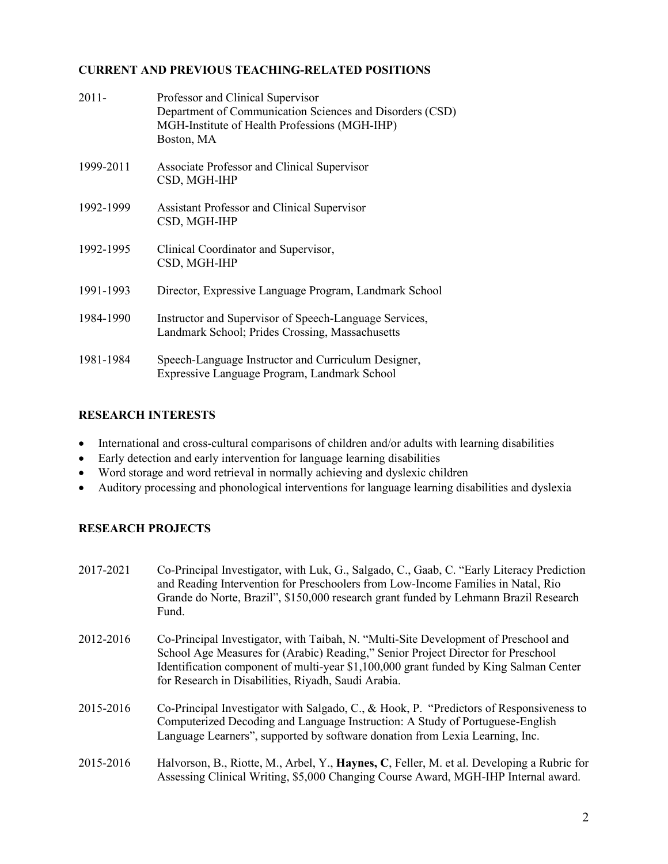### **CURRENT AND PREVIOUS TEACHING-RELATED POSITIONS**

| $2011 -$  | Professor and Clinical Supervisor<br>Department of Communication Sciences and Disorders (CSD)<br>MGH-Institute of Health Professions (MGH-IHP)<br>Boston, MA |
|-----------|--------------------------------------------------------------------------------------------------------------------------------------------------------------|
| 1999-2011 | Associate Professor and Clinical Supervisor<br>CSD, MGH-IHP                                                                                                  |
| 1992-1999 | <b>Assistant Professor and Clinical Supervisor</b><br>CSD, MGH-IHP                                                                                           |
| 1992-1995 | Clinical Coordinator and Supervisor,<br>CSD, MGH-IHP                                                                                                         |
| 1991-1993 | Director, Expressive Language Program, Landmark School                                                                                                       |
| 1984-1990 | Instructor and Supervisor of Speech-Language Services,<br>Landmark School; Prides Crossing, Massachusetts                                                    |
| 1981-1984 | Speech-Language Instructor and Curriculum Designer,<br>Expressive Language Program, Landmark School                                                          |

### **RESEARCH INTERESTS**

- International and cross-cultural comparisons of children and/or adults with learning disabilities
- Early detection and early intervention for language learning disabilities
- Word storage and word retrieval in normally achieving and dyslexic children
- Auditory processing and phonological interventions for language learning disabilities and dyslexia

### **RESEARCH PROJECTS**

| 2017-2021 | Co-Principal Investigator, with Luk, G., Salgado, C., Gaab, C. "Early Literacy Prediction"<br>and Reading Intervention for Preschoolers from Low-Income Families in Natal, Rio<br>Grande do Norte, Brazil", \$150,000 research grant funded by Lehmann Brazil Research<br>Fund.                                         |
|-----------|-------------------------------------------------------------------------------------------------------------------------------------------------------------------------------------------------------------------------------------------------------------------------------------------------------------------------|
| 2012-2016 | Co-Principal Investigator, with Taibah, N. "Multi-Site Development of Preschool and<br>School Age Measures for (Arabic) Reading," Senior Project Director for Preschool<br>Identification component of multi-year \$1,100,000 grant funded by King Salman Center<br>for Research in Disabilities, Riyadh, Saudi Arabia. |
| 2015-2016 | Co-Principal Investigator with Salgado, C., & Hook, P. "Predictors of Responsiveness to<br>Computerized Decoding and Language Instruction: A Study of Portuguese-English<br>Language Learners", supported by software donation from Lexia Learning, Inc.                                                                |
| 2015-2016 | Halvorson, B., Riotte, M., Arbel, Y., Haynes, C., Feller, M. et al. Developing a Rubric for<br>Assessing Clinical Writing, \$5,000 Changing Course Award, MGH-IHP Internal award.                                                                                                                                       |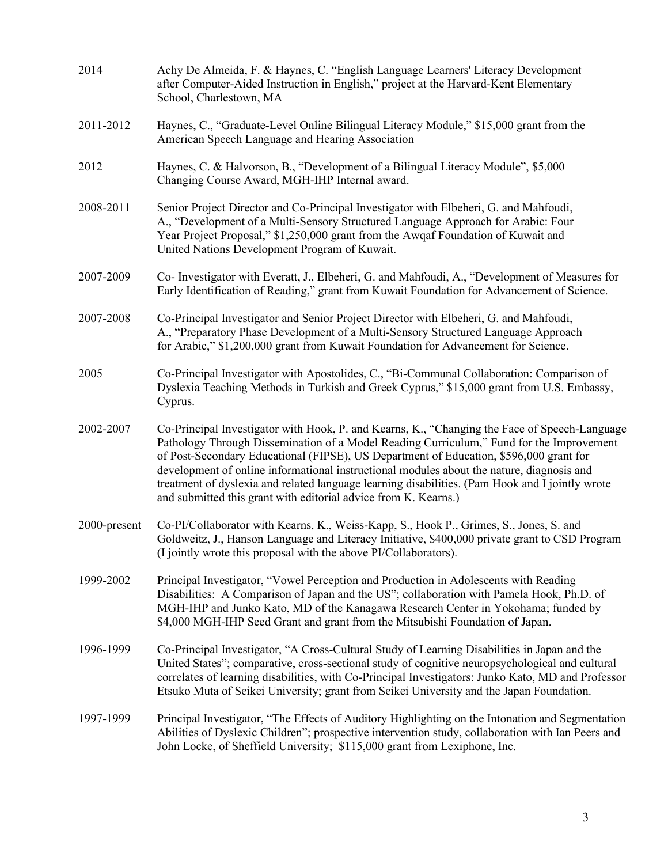| 2014         | Achy De Almeida, F. & Haynes, C. "English Language Learners' Literacy Development<br>after Computer-Aided Instruction in English," project at the Harvard-Kent Elementary<br>School, Charlestown, MA                                                                                                                                                                                                                                                                                                                                                   |
|--------------|--------------------------------------------------------------------------------------------------------------------------------------------------------------------------------------------------------------------------------------------------------------------------------------------------------------------------------------------------------------------------------------------------------------------------------------------------------------------------------------------------------------------------------------------------------|
| 2011-2012    | Haynes, C., "Graduate-Level Online Bilingual Literacy Module," \$15,000 grant from the<br>American Speech Language and Hearing Association                                                                                                                                                                                                                                                                                                                                                                                                             |
| 2012         | Haynes, C. & Halvorson, B., "Development of a Bilingual Literacy Module", \$5,000<br>Changing Course Award, MGH-IHP Internal award.                                                                                                                                                                                                                                                                                                                                                                                                                    |
| 2008-2011    | Senior Project Director and Co-Principal Investigator with Elbeheri, G. and Mahfoudi,<br>A., "Development of a Multi-Sensory Structured Language Approach for Arabic: Four<br>Year Project Proposal," \$1,250,000 grant from the Awqaf Foundation of Kuwait and<br>United Nations Development Program of Kuwait.                                                                                                                                                                                                                                       |
| 2007-2009    | Co- Investigator with Everatt, J., Elbeheri, G. and Mahfoudi, A., "Development of Measures for<br>Early Identification of Reading," grant from Kuwait Foundation for Advancement of Science.                                                                                                                                                                                                                                                                                                                                                           |
| 2007-2008    | Co-Principal Investigator and Senior Project Director with Elbeheri, G. and Mahfoudi,<br>A., "Preparatory Phase Development of a Multi-Sensory Structured Language Approach<br>for Arabic," \$1,200,000 grant from Kuwait Foundation for Advancement for Science.                                                                                                                                                                                                                                                                                      |
| 2005         | Co-Principal Investigator with Apostolides, C., "Bi-Communal Collaboration: Comparison of<br>Dyslexia Teaching Methods in Turkish and Greek Cyprus," \$15,000 grant from U.S. Embassy,<br>Cyprus.                                                                                                                                                                                                                                                                                                                                                      |
| 2002-2007    | Co-Principal Investigator with Hook, P. and Kearns, K., "Changing the Face of Speech-Language<br>Pathology Through Dissemination of a Model Reading Curriculum," Fund for the Improvement<br>of Post-Secondary Educational (FIPSE), US Department of Education, \$596,000 grant for<br>development of online informational instructional modules about the nature, diagnosis and<br>treatment of dyslexia and related language learning disabilities. (Pam Hook and I jointly wrote<br>and submitted this grant with editorial advice from K. Kearns.) |
| 2000-present | Co-PI/Collaborator with Kearns, K., Weiss-Kapp, S., Hook P., Grimes, S., Jones, S. and<br>Goldweitz, J., Hanson Language and Literacy Initiative, \$400,000 private grant to CSD Program<br>(I jointly wrote this proposal with the above PI/Collaborators).                                                                                                                                                                                                                                                                                           |
| 1999-2002    | Principal Investigator, "Vowel Perception and Production in Adolescents with Reading<br>Disabilities: A Comparison of Japan and the US"; collaboration with Pamela Hook, Ph.D. of<br>MGH-IHP and Junko Kato, MD of the Kanagawa Research Center in Yokohama; funded by<br>\$4,000 MGH-IHP Seed Grant and grant from the Mitsubishi Foundation of Japan.                                                                                                                                                                                                |
| 1996-1999    | Co-Principal Investigator, "A Cross-Cultural Study of Learning Disabilities in Japan and the<br>United States"; comparative, cross-sectional study of cognitive neuropsychological and cultural<br>correlates of learning disabilities, with Co-Principal Investigators: Junko Kato, MD and Professor<br>Etsuko Muta of Seikei University; grant from Seikei University and the Japan Foundation.                                                                                                                                                      |
| 1997-1999    | Principal Investigator, "The Effects of Auditory Highlighting on the Intonation and Segmentation<br>Abilities of Dyslexic Children"; prospective intervention study, collaboration with Ian Peers and<br>John Locke, of Sheffield University; \$115,000 grant from Lexiphone, Inc.                                                                                                                                                                                                                                                                     |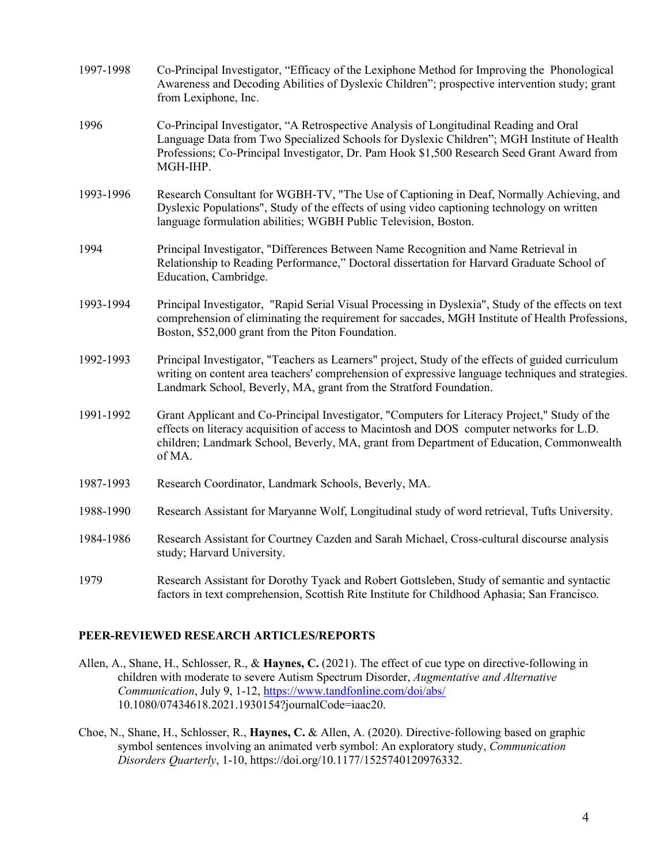| 1997-1998 | Co-Principal Investigator, "Efficacy of the Lexiphone Method for Improving the Phonological<br>Awareness and Decoding Abilities of Dyslexic Children"; prospective intervention study; grant<br>from Lexiphone, Inc.                                                                             |
|-----------|--------------------------------------------------------------------------------------------------------------------------------------------------------------------------------------------------------------------------------------------------------------------------------------------------|
| 1996      | Co-Principal Investigator, "A Retrospective Analysis of Longitudinal Reading and Oral<br>Language Data from Two Specialized Schools for Dyslexic Children"; MGH Institute of Health<br>Professions; Co-Principal Investigator, Dr. Pam Hook \$1,500 Research Seed Grant Award from<br>MGH-IHP.   |
| 1993-1996 | Research Consultant for WGBH-TV, "The Use of Captioning in Deaf, Normally Achieving, and<br>Dyslexic Populations", Study of the effects of using video captioning technology on written<br>language formulation abilities; WGBH Public Television, Boston.                                       |
| 1994      | Principal Investigator, "Differences Between Name Recognition and Name Retrieval in<br>Relationship to Reading Performance," Doctoral dissertation for Harvard Graduate School of<br>Education, Cambridge.                                                                                       |
| 1993-1994 | Principal Investigator, "Rapid Serial Visual Processing in Dyslexia", Study of the effects on text<br>comprehension of eliminating the requirement for saccades, MGH Institute of Health Professions,<br>Boston, \$52,000 grant from the Piton Foundation.                                       |
| 1992-1993 | Principal Investigator, "Teachers as Learners" project, Study of the effects of guided curriculum<br>writing on content area teachers' comprehension of expressive language techniques and strategies.<br>Landmark School, Beverly, MA, grant from the Stratford Foundation.                     |
| 1991-1992 | Grant Applicant and Co-Principal Investigator, "Computers for Literacy Project," Study of the<br>effects on literacy acquisition of access to Macintosh and DOS computer networks for L.D.<br>children; Landmark School, Beverly, MA, grant from Department of Education, Commonwealth<br>of MA. |
| 1987-1993 | Research Coordinator, Landmark Schools, Beverly, MA.                                                                                                                                                                                                                                             |
| 1988-1990 | Research Assistant for Maryanne Wolf, Longitudinal study of word retrieval, Tufts University.                                                                                                                                                                                                    |
| 1984-1986 | Research Assistant for Courtney Cazden and Sarah Michael, Cross-cultural discourse analysis<br>study; Harvard University.                                                                                                                                                                        |
| 1979      | Research Assistant for Dorothy Tyack and Robert Gottsleben, Study of semantic and syntactic<br>factors in text comprehension, Scottish Rite Institute for Childhood Aphasia; San Francisco.                                                                                                      |

#### **PEER-REVIEWED RESEARCH ARTICLES/REPORTS**

- Allen, A., Shane, H., Schlosser, R., & **Haynes, C.** (2021). The effect of cue type on directive-following in children with moderate to severe Autism Spectrum Disorder, *Augmentative and Alternative Communication*, July 9, 1-12,<https://www.tandfonline.com/doi/abs/> 10.1080/07434618.2021.1930154?journalCode=iaac20.
- Choe, N., Shane, H., Schlosser, R., **Haynes, C.** & Allen, A. (2020). Directive-following based on graphic symbol sentences involving an animated verb symbol: An exploratory study, *Communication Disorders Quarterly*, 1-10, https://doi.org/10.1177/1525740120976332.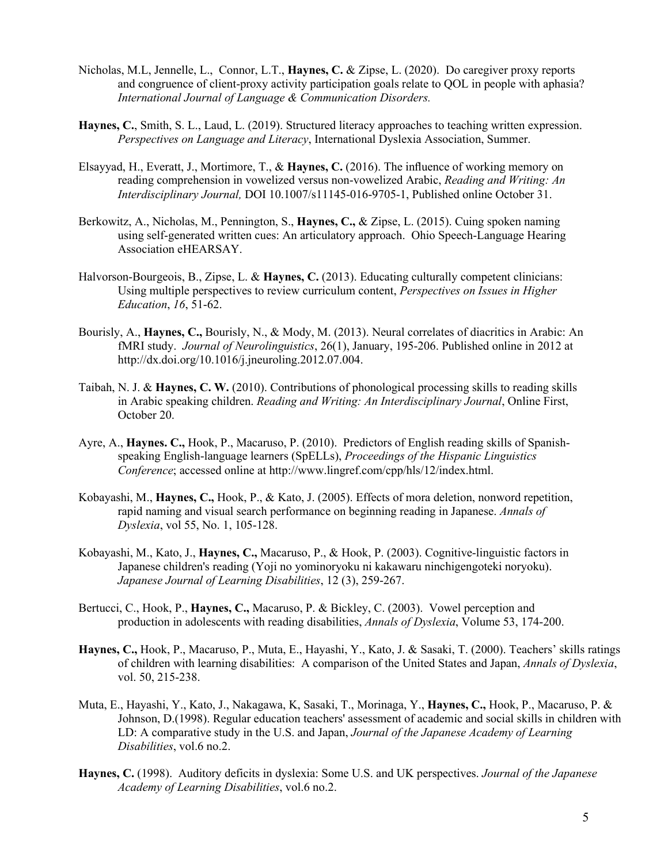- Nicholas, M.L, Jennelle, L., Connor, L.T., **Haynes, C.** & Zipse, L. (2020). Do caregiver proxy reports and congruence of client-proxy activity participation goals relate to QOL in people with aphasia? *International Journal of Language & Communication Disorders.*
- **Haynes, C.**, Smith, S. L., Laud, L. (2019). Structured literacy approaches to teaching written expression. *Perspectives on Language and Literacy*, International Dyslexia Association, Summer.
- Elsayyad, H., Everatt, J., Mortimore, T., & **Haynes, C.** (2016). The influence of working memory on reading comprehension in vowelized versus non-vowelized Arabic, *Reading and Writing: An Interdisciplinary Journal,* DOI 10.1007/s11145-016-9705-1, Published online October 31.
- Berkowitz, A., Nicholas, M., Pennington, S., **Haynes, C.,** & Zipse, L. (2015). Cuing spoken naming using self-generated written cues: An articulatory approach. Ohio Speech-Language Hearing Association eHEARSAY.
- Halvorson-Bourgeois, B., Zipse, L. & **Haynes, C.** (2013). Educating culturally competent clinicians: Using multiple perspectives to review curriculum content, *Perspectives on Issues in Higher Education*, *16*, 51-62.
- Bourisly, A., **Haynes, C.,** Bourisly, N., & Mody, M. (2013). Neural correlates of diacritics in Arabic: An fMRI study. *Journal of Neurolinguistics*, 26(1), January, 195-206. Published online in 2012 at http://dx.doi.org/10.1016/j.jneuroling.2012.07.004.
- Taibah, N. J. & **Haynes, C. W.** (2010). Contributions of phonological processing skills to reading skills in Arabic speaking children. *Reading and Writing: An Interdisciplinary Journal*, Online First, October 20.
- Ayre, A., **Haynes. C.,** Hook, P., Macaruso, P. (2010). Predictors of English reading skills of Spanishspeaking English-language learners (SpELLs), *Proceedings of the Hispanic Linguistics Conference*; accessed online at http://www.lingref.com/cpp/hls/12/index.html.
- Kobayashi, M., **Haynes, C.,** Hook, P., & Kato, J. (2005). Effects of mora deletion, nonword repetition, rapid naming and visual search performance on beginning reading in Japanese. *Annals of Dyslexia*, vol 55, No. 1, 105-128.
- Kobayashi, M., Kato, J., **Haynes, C.,** Macaruso, P., & Hook, P. (2003). Cognitive-linguistic factors in Japanese children's reading (Yoji no yominoryoku ni kakawaru ninchigengoteki noryoku). *Japanese Journal of Learning Disabilities*, 12 (3), 259-267.
- Bertucci, C., Hook, P., **Haynes, C.,** Macaruso, P. & Bickley, C. (2003). Vowel perception and production in adolescents with reading disabilities, *Annals of Dyslexia*, Volume 53, 174-200.
- **Haynes, C.,** Hook, P., Macaruso, P., Muta, E., Hayashi, Y., Kato, J. & Sasaki, T. (2000). Teachers' skills ratings of children with learning disabilities: A comparison of the United States and Japan, *Annals of Dyslexia*, vol. 50, 215-238.
- Muta, E., Hayashi, Y., Kato, J., Nakagawa, K, Sasaki, T., Morinaga, Y., **Haynes, C.,** Hook, P., Macaruso, P. & Johnson, D.(1998). Regular education teachers' assessment of academic and social skills in children with LD: A comparative study in the U.S. and Japan, *Journal of the Japanese Academy of Learning Disabilities*, vol.6 no.2.
- **Haynes, C.** (1998). Auditory deficits in dyslexia: Some U.S. and UK perspectives. *Journal of the Japanese Academy of Learning Disabilities*, vol.6 no.2.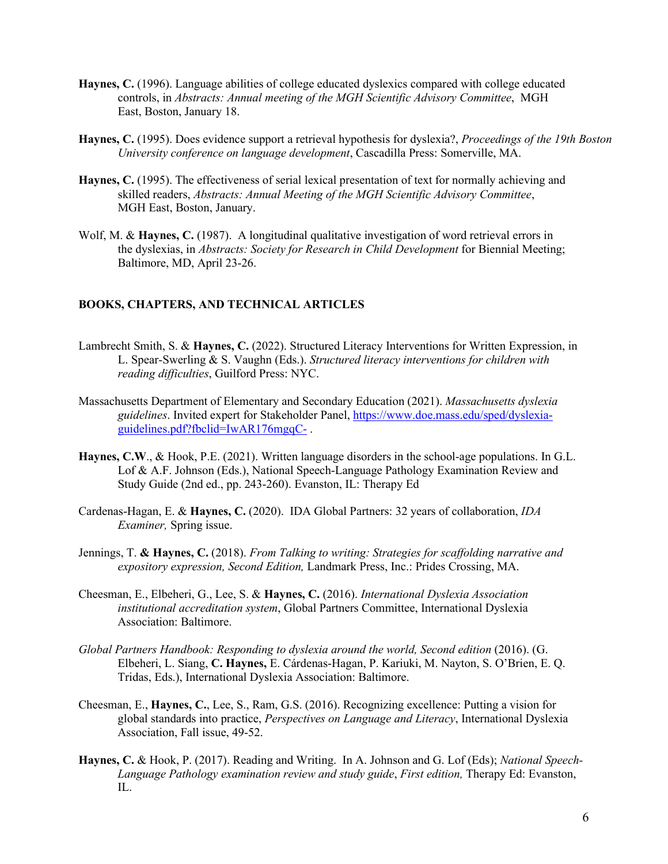- **Haynes, C.** (1996). Language abilities of college educated dyslexics compared with college educated controls, in *Abstracts: Annual meeting of the MGH Scientific Advisory Committee*, MGH East, Boston, January 18.
- **Haynes, C.** (1995). Does evidence support a retrieval hypothesis for dyslexia?, *Proceedings of the 19th Boston University conference on language development*, Cascadilla Press: Somerville, MA.
- **Haynes, C.** (1995). The effectiveness of serial lexical presentation of text for normally achieving and skilled readers, *Abstracts: Annual Meeting of the MGH Scientific Advisory Committee*, MGH East, Boston, January.
- Wolf, M. & **Haynes, C.** (1987). A longitudinal qualitative investigation of word retrieval errors in the dyslexias, in *Abstracts: Society for Research in Child Development* for Biennial Meeting; Baltimore, MD, April 23-26.

#### **BOOKS, CHAPTERS, AND TECHNICAL ARTICLES**

- Lambrecht Smith, S. & **Haynes, C.** (2022). Structured Literacy Interventions for Written Expression, in L. Spear-Swerling & S. Vaughn (Eds.). *Structured literacy interventions for children with reading difficulties*, Guilford Press: NYC.
- Massachusetts Department of Elementary and Secondary Education (2021). *Massachusetts dyslexia guidelines*. Invited expert for Stakeholder Panel[, https://www.doe.mass.edu/sped/dyslexia](https://www.doe.mass.edu/sped/dyslexia-guidelines.pdf?fbclid=IwAR176mgqC-)[guidelines.pdf?fbclid=IwAR176mgqC-](https://www.doe.mass.edu/sped/dyslexia-guidelines.pdf?fbclid=IwAR176mgqC-) .
- **Haynes, C.W**., & Hook, P.E. (2021). Written language disorders in the school-age populations. In G.L. Lof & A.F. Johnson (Eds.), National Speech-Language Pathology Examination Review and Study Guide (2nd ed., pp. 243-260). Evanston, IL: Therapy Ed
- Cardenas-Hagan, E. & **Haynes, C.** (2020). IDA Global Partners: 32 years of collaboration, *IDA Examiner,* Spring issue.
- Jennings, T. **& Haynes, C.** (2018). *From Talking to writing: Strategies for scaffolding narrative and expository expression, Second Edition,* Landmark Press, Inc.: Prides Crossing, MA.
- Cheesman, E., Elbeheri, G., Lee, S. & **Haynes, C.** (2016). *International Dyslexia Association institutional accreditation system*, Global Partners Committee, International Dyslexia Association: Baltimore.
- *Global Partners Handbook: Responding to dyslexia around the world, Second edition* (2016). (G. Elbeheri, L. Siang, **C. Haynes,** E. Cárdenas-Hagan, P. Kariuki, M. Nayton, S. O'Brien, E. Q. Tridas, Eds.), International Dyslexia Association: Baltimore.
- Cheesman, E., **Haynes, C.**, Lee, S., Ram, G.S. (2016). Recognizing excellence: Putting a vision for global standards into practice, *Perspectives on Language and Literacy*, International Dyslexia Association, Fall issue, 49-52.
- **Haynes, C.** & Hook, P. (2017). Reading and Writing. In A. Johnson and G. Lof (Eds); *National Speech-Language Pathology examination review and study guide*, *First edition,* Therapy Ed: Evanston, IL.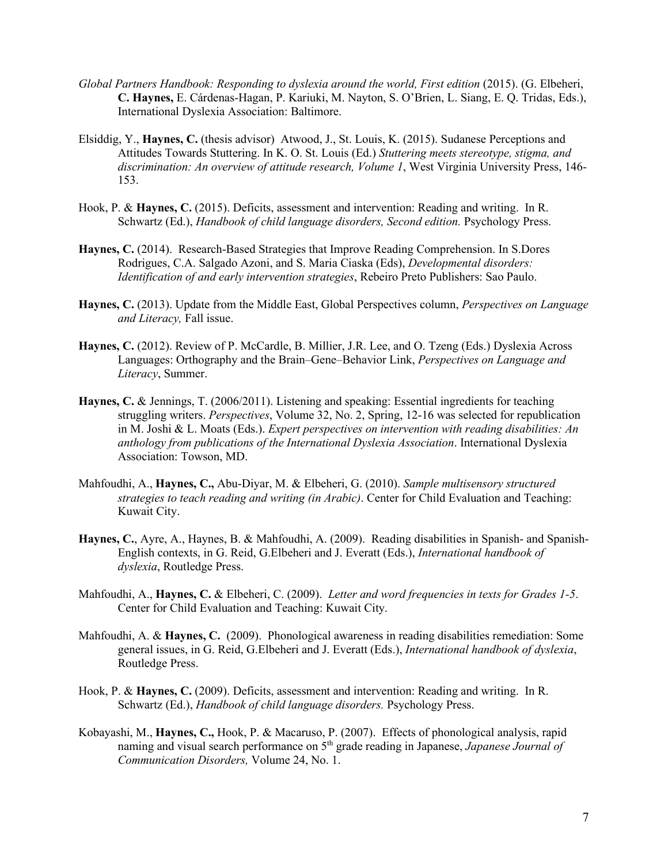- *Global Partners Handbook: Responding to dyslexia around the world, First edition* (2015). (G. Elbeheri, **C. Haynes,** E. Cárdenas-Hagan, P. Kariuki, M. Nayton, S. O'Brien, L. Siang, E. Q. Tridas, Eds.), International Dyslexia Association: Baltimore.
- Elsiddig, Y., **Haynes, C.** (thesis advisor) Atwood, J., St. Louis, K. (2015). Sudanese Perceptions and Attitudes Towards Stuttering. In K. O. St. Louis (Ed.) *Stuttering meets stereotype, stigma, and discrimination: An overview of attitude research, Volume 1*, West Virginia University Press, 146- 153.
- Hook, P. & **Haynes, C.** (2015). Deficits, assessment and intervention: Reading and writing. In R. Schwartz (Ed.), *Handbook of child language disorders, Second edition.* Psychology Press.
- **Haynes, C.** (2014). Research-Based Strategies that Improve Reading Comprehension. In S.Dores Rodrigues, C.A. Salgado Azoni, and S. Maria Ciaska (Eds), *Developmental disorders: Identification of and early intervention strategies*, Rebeiro Preto Publishers: Sao Paulo.
- **Haynes, C.** (2013). Update from the Middle East, Global Perspectives column, *Perspectives on Language and Literacy,* Fall issue.
- **Haynes, C.** (2012). Review of P. McCardle, B. Millier, J.R. Lee, and O. Tzeng (Eds.) Dyslexia Across Languages: Orthography and the Brain–Gene–Behavior Link, *Perspectives on Language and Literacy*, Summer.
- **Haynes, C.** & Jennings, T. (2006/2011). Listening and speaking: Essential ingredients for teaching struggling writers. *Perspectives*, Volume 32, No. 2, Spring, 12-16 was selected for republication in M. Joshi & L. Moats (Eds.). *Expert perspectives on intervention with reading disabilities: An anthology from publications of the International Dyslexia Association*. International Dyslexia Association: Towson, MD.
- Mahfoudhi, A., **Haynes, C.,** Abu-Diyar, M. & Elbeheri, G. (2010). *Sample multisensory structured strategies to teach reading and writing (in Arabic)*. Center for Child Evaluation and Teaching: Kuwait City.
- **Haynes, C.**, Ayre, A., Haynes, B. & Mahfoudhi, A. (2009). Reading disabilities in Spanish- and Spanish-English contexts, in G. Reid, G.Elbeheri and J. Everatt (Eds.), *International handbook of dyslexia*, Routledge Press.
- Mahfoudhi, A., **Haynes, C.** & Elbeheri, C. (2009). *Letter and word frequencies in texts for Grades 1-5*. Center for Child Evaluation and Teaching: Kuwait City.
- Mahfoudhi, A. & **Haynes, C.** (2009). Phonological awareness in reading disabilities remediation: Some general issues, in G. Reid, G.Elbeheri and J. Everatt (Eds.), *International handbook of dyslexia*, Routledge Press.
- Hook, P. & **Haynes, C.** (2009). Deficits, assessment and intervention: Reading and writing. In R. Schwartz (Ed.), *Handbook of child language disorders.* Psychology Press.
- Kobayashi, M., **Haynes, C.,** Hook, P. & Macaruso, P. (2007). Effects of phonological analysis, rapid naming and visual search performance on 5<sup>th</sup> grade reading in Japanese, *Japanese Journal of Communication Disorders,* Volume 24, No. 1.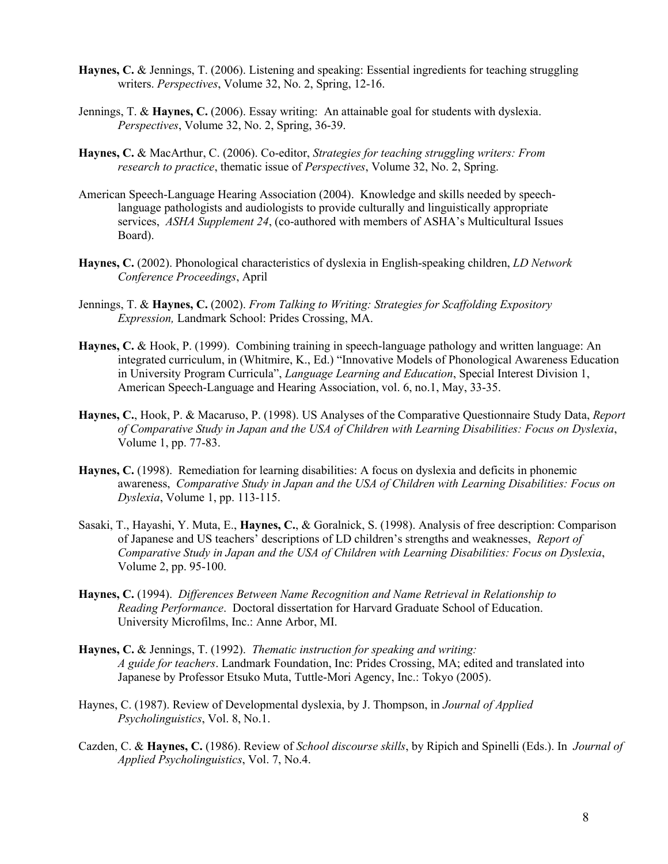- **Haynes, C.** & Jennings, T. (2006). Listening and speaking: Essential ingredients for teaching struggling writers. *Perspectives*, Volume 32, No. 2, Spring, 12-16.
- Jennings, T. & **Haynes, C.** (2006). Essay writing: An attainable goal for students with dyslexia. *Perspectives*, Volume 32, No. 2, Spring, 36-39.
- **Haynes, C.** & MacArthur, C. (2006). Co-editor, *Strategies for teaching struggling writers: From research to practice*, thematic issue of *Perspectives*, Volume 32, No. 2, Spring.
- American Speech-Language Hearing Association (2004). Knowledge and skills needed by speechlanguage pathologists and audiologists to provide culturally and linguistically appropriate services, *ASHA Supplement 24*, (co-authored with members of ASHA's Multicultural Issues Board).
- **Haynes, C.** (2002). Phonological characteristics of dyslexia in English-speaking children, *LD Network Conference Proceedings*, April
- Jennings, T. & **Haynes, C.** (2002). *From Talking to Writing: Strategies for Scaffolding Expository Expression,* Landmark School: Prides Crossing, MA.
- **Haynes, C.** & Hook, P. (1999). Combining training in speech-language pathology and written language: An integrated curriculum, in (Whitmire, K., Ed.) "Innovative Models of Phonological Awareness Education in University Program Curricula", *Language Learning and Education*, Special Interest Division 1, American Speech-Language and Hearing Association, vol. 6, no.1, May, 33-35.
- **Haynes, C.**, Hook, P. & Macaruso, P. (1998). US Analyses of the Comparative Questionnaire Study Data, *Report of Comparative Study in Japan and the USA of Children with Learning Disabilities: Focus on Dyslexia*, Volume 1, pp. 77-83.
- **Haynes, C.** (1998). Remediation for learning disabilities: A focus on dyslexia and deficits in phonemic awareness, *Comparative Study in Japan and the USA of Children with Learning Disabilities: Focus on Dyslexia*, Volume 1, pp. 113-115.
- Sasaki, T., Hayashi, Y. Muta, E., **Haynes, C.**, & Goralnick, S. (1998). Analysis of free description: Comparison of Japanese and US teachers' descriptions of LD children's strengths and weaknesses, *Report of Comparative Study in Japan and the USA of Children with Learning Disabilities: Focus on Dyslexia*, Volume 2, pp. 95-100.
- **Haynes, C.** (1994). *Differences Between Name Recognition and Name Retrieval in Relationship to Reading Performance*. Doctoral dissertation for Harvard Graduate School of Education. University Microfilms, Inc.: Anne Arbor, MI.
- **Haynes, C.** & Jennings, T. (1992). *Thematic instruction for speaking and writing: A guide for teachers*. Landmark Foundation, Inc: Prides Crossing, MA; edited and translated into Japanese by Professor Etsuko Muta, Tuttle-Mori Agency, Inc.: Tokyo (2005).
- Haynes, C. (1987). Review of Developmental dyslexia, by J. Thompson, in *Journal of Applied Psycholinguistics*, Vol. 8, No.1.
- Cazden, C. & **Haynes, C.** (1986). Review of *School discourse skills*, by Ripich and Spinelli (Eds.). In *Journal of Applied Psycholinguistics*, Vol. 7, No.4.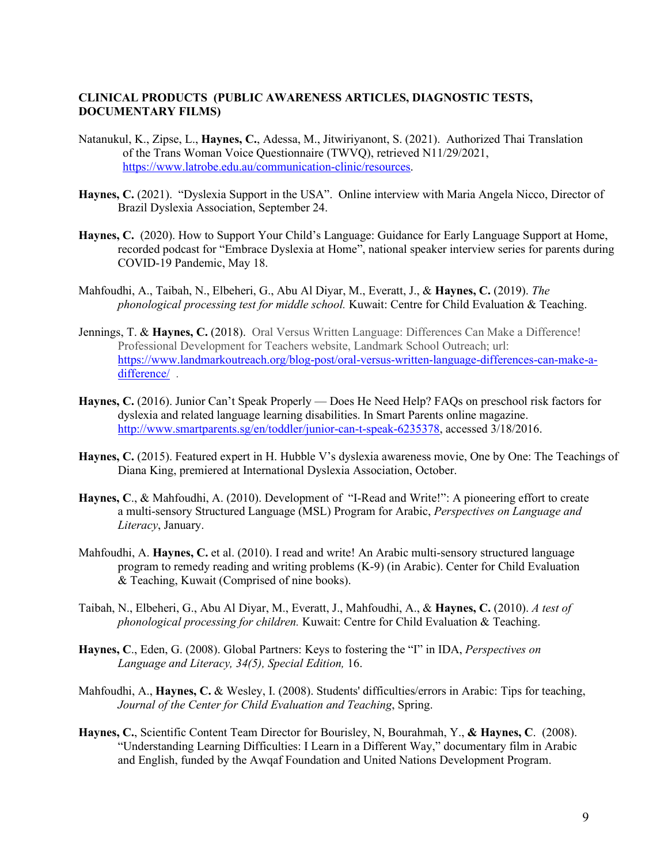### **CLINICAL PRODUCTS (PUBLIC AWARENESS ARTICLES, DIAGNOSTIC TESTS, DOCUMENTARY FILMS)**

- Natanukul, K., Zipse, L., **Haynes, C.**, Adessa, M., Jitwiriyanont, S. (2021). Authorized Thai Translation of the Trans Woman Voice Questionnaire (TWVQ), retrieved N11/29/2021, [https://www.latrobe.edu.au/communication-clinic/resources.](https://www.latrobe.edu.au/communication-clinic/resources)
- Haynes, C. (2021). "Dyslexia Support in the USA". Online interview with Maria Angela Nicco, Director of Brazil Dyslexia Association, September 24.
- **Haynes, C.** (2020). How to Support Your Child's Language: Guidance for Early Language Support at Home, recorded podcast for "Embrace Dyslexia at Home", national speaker interview series for parents during COVID-19 Pandemic, May 18.
- Mahfoudhi, A., Taibah, N., Elbeheri, G., Abu Al Diyar, M., Everatt, J., & **Haynes, C.** (2019). *The phonological processing test for middle school.* Kuwait: Centre for Child Evaluation & Teaching.
- Jennings, T. & **Haynes, C.** (2018).Oral Versus Written Language: Differences Can Make a Difference! Professional Development for Teachers website, Landmark School Outreach; url: [https://www.landmarkoutreach.org/blog-post/oral-versus-written-language-differences-can-make-a](https://www.landmarkoutreach.org/blog-post/oral-versus-written-language-differences-can-make-a-difference/)[difference/](https://www.landmarkoutreach.org/blog-post/oral-versus-written-language-differences-can-make-a-difference/) .
- **Haynes, C.** (2016). Junior Can't Speak Properly Does He Need Help? FAQs on preschool risk factors for dyslexia and related language learning disabilities. In Smart Parents online magazine. [http://www.smartparents.sg/en/toddler/junior-can-t-speak-6235378,](http://www.smartparents.sg/en/toddler/junior-can-t-speak-6235378) accessed 3/18/2016.
- **Haynes, C.** (2015). Featured expert in H. Hubble V's dyslexia awareness movie, One by One: The Teachings of Diana King, premiered at International Dyslexia Association, October.
- **Haynes, C**., & Mahfoudhi, A. (2010). Development of "I-Read and Write!": A pioneering effort to create a multi-sensory Structured Language (MSL) Program for Arabic, *Perspectives on Language and Literacy*, January.
- Mahfoudhi, A. **Haynes, C.** et al. (2010). I read and write! An Arabic multi-sensory structured language program to remedy reading and writing problems (K-9) (in Arabic). Center for Child Evaluation & Teaching, Kuwait (Comprised of nine books).
- Taibah, N., Elbeheri, G., Abu Al Diyar, M., Everatt, J., Mahfoudhi, A., & **Haynes, C.** (2010). *A test of phonological processing for children.* Kuwait: Centre for Child Evaluation & Teaching.
- **Haynes, C**., Eden, G. (2008). Global Partners: Keys to fostering the "I" in IDA, *Perspectives on Language and Literacy, 34(5), Special Edition,* 16.
- Mahfoudhi, A., **Haynes, C.** & Wesley, I. (2008). Students' difficulties/errors in Arabic: Tips for teaching, *Journal of the Center for Child Evaluation and Teaching*, Spring.
- **Haynes, C.**, Scientific Content Team Director for Bourisley, N, Bourahmah, Y., **& Haynes, C**. (2008). "Understanding Learning Difficulties: I Learn in a Different Way," documentary film in Arabic and English, funded by the Awqaf Foundation and United Nations Development Program.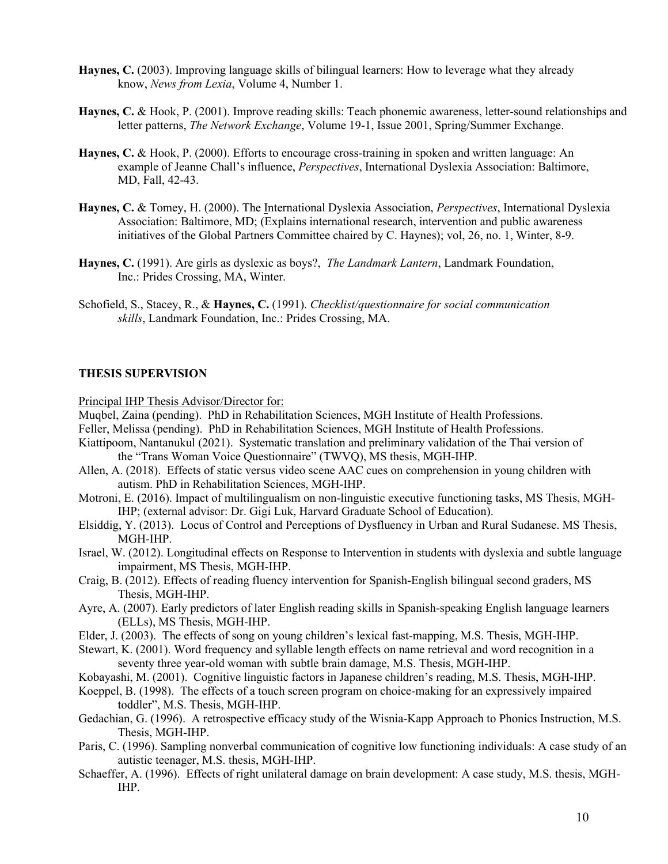- **Haynes, C.** (2003). Improving language skills of bilingual learners: How to leverage what they already know, *News from Lexia*, Volume 4, Number 1.
- **Haynes, C.** & Hook, P. (2001). Improve reading skills: Teach phonemic awareness, letter-sound relationships and letter patterns, *The Network Exchange*, Volume 19-1, Issue 2001, Spring/Summer Exchange.
- **Haynes, C.** & Hook, P. (2000). Efforts to encourage cross-training in spoken and written language: An example of Jeanne Chall's influence, *Perspectives*, International Dyslexia Association: Baltimore, MD, Fall, 42-43.
- **Haynes, C.** & Tomey, H. (2000). The International Dyslexia Association, *Perspectives*, International Dyslexia Association: Baltimore, MD; (Explains international research, intervention and public awareness initiatives of the Global Partners Committee chaired by C. Haynes); vol, 26, no. 1, Winter, 8-9.
- **Haynes, C.** (1991). Are girls as dyslexic as boys?, *The Landmark Lantern*, Landmark Foundation, Inc.: Prides Crossing, MA, Winter.
- Schofield, S., Stacey, R., & **Haynes, C.** (1991). *Checklist/questionnaire for social communication skills*, Landmark Foundation, Inc.: Prides Crossing, MA.

#### **THESIS SUPERVISION**

Principal IHP Thesis Advisor/Director for:

- Muqbel, Zaina (pending). PhD in Rehabilitation Sciences, MGH Institute of Health Professions.
- Feller, Melissa (pending). PhD in Rehabilitation Sciences, MGH Institute of Health Professions.
- Kiattipoom, Nantanukul (2021). Systematic translation and preliminary validation of the Thai version of the "Trans Woman Voice Questionnaire" (TWVQ), MS thesis, MGH-IHP.
- Allen, A. (2018). Effects of static versus video scene AAC cues on comprehension in young children with autism. PhD in Rehabilitation Sciences, MGH-IHP.
- Motroni, E. (2016). Impact of multilingualism on non-linguistic executive functioning tasks, MS Thesis, MGH-IHP; (external advisor: Dr. Gigi Luk, Harvard Graduate School of Education).
- Elsiddig, Y. (2013). Locus of Control and Perceptions of Dysfluency in Urban and Rural Sudanese. MS Thesis, MGH-IHP.
- Israel, W. (2012). Longitudinal effects on Response to Intervention in students with dyslexia and subtle language impairment, MS Thesis, MGH-IHP.
- Craig, B. (2012). Effects of reading fluency intervention for Spanish-English bilingual second graders, MS Thesis, MGH-IHP.
- Ayre, A. (2007). Early predictors of later English reading skills in Spanish-speaking English language learners (ELLs), MS Thesis, MGH-IHP.
- Elder, J. (2003). The effects of song on young children's lexical fast-mapping, M.S. Thesis, MGH-IHP.
- Stewart, K. (2001). Word frequency and syllable length effects on name retrieval and word recognition in a seventy three year-old woman with subtle brain damage, M.S. Thesis, MGH-IHP.
- Kobayashi, M. (2001). Cognitive linguistic factors in Japanese children's reading, M.S. Thesis, MGH-IHP.
- Koeppel, B. (1998). The effects of a touch screen program on choice-making for an expressively impaired toddler", M.S. Thesis, MGH-IHP.
- Gedachian, G. (1996). A retrospective efficacy study of the Wisnia-Kapp Approach to Phonics Instruction, M.S. Thesis, MGH-IHP.
- Paris, C. (1996). Sampling nonverbal communication of cognitive low functioning individuals: A case study of an autistic teenager, M.S. thesis, MGH-IHP.
- Schaeffer, A. (1996). Effects of right unilateral damage on brain development: A case study, M.S. thesis, MGH-IHP.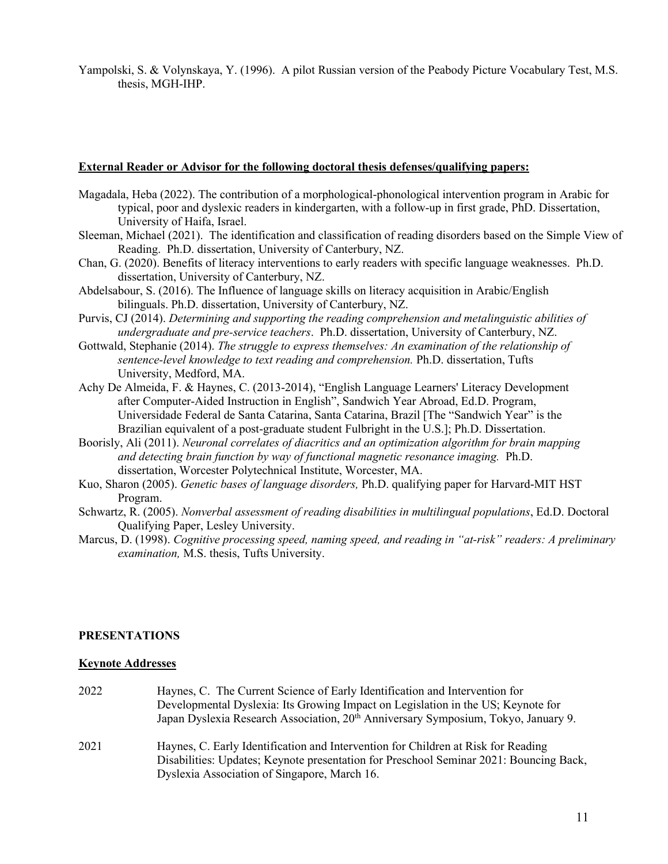Yampolski, S. & Volynskaya, Y. (1996). A pilot Russian version of the Peabody Picture Vocabulary Test, M.S. thesis, MGH-IHP.

#### **External Reader or Advisor for the following doctoral thesis defenses/qualifying papers:**

- Magadala, Heba (2022). The contribution of a morphological-phonological intervention program in Arabic for typical, poor and dyslexic readers in kindergarten, with a follow-up in first grade, PhD. Dissertation, University of Haifa, Israel.
- Sleeman, Michael (2021). The identification and classification of reading disorders based on the Simple View of Reading. Ph.D. dissertation, University of Canterbury, NZ.
- Chan, G. (2020). Benefits of literacy interventions to early readers with specific language weaknesses. Ph.D. dissertation, University of Canterbury, NZ.
- Abdelsabour, S. (2016). The Influence of language skills on literacy acquisition in Arabic/English bilinguals. Ph.D. dissertation, University of Canterbury, NZ.
- Purvis, CJ (2014). *Determining and supporting the reading comprehension and metalinguistic abilities of undergraduate and pre-service teachers*. Ph.D. dissertation, University of Canterbury, NZ.
- Gottwald, Stephanie (2014). *The struggle to express themselves: An examination of the relationship of sentence-level knowledge to text reading and comprehension.* Ph.D. dissertation, Tufts University, Medford, MA.
- Achy De Almeida, F. & Haynes, C. (2013-2014), "English Language Learners' Literacy Development after Computer-Aided Instruction in English", Sandwich Year Abroad, Ed.D. Program, Universidade Federal de Santa Catarina, Santa Catarina, Brazil [The "Sandwich Year" is the Brazilian equivalent of a post-graduate student Fulbright in the U.S.]; Ph.D. Dissertation.
- Boorisly, Ali (2011). *Neuronal correlates of diacritics and an optimization algorithm for brain mapping and detecting brain function by way of functional magnetic resonance imaging.* Ph.D. dissertation, Worcester Polytechnical Institute, Worcester, MA.
- Kuo, Sharon (2005). *Genetic bases of language disorders,* Ph.D. qualifying paper for Harvard-MIT HST Program.
- Schwartz, R. (2005). *Nonverbal assessment of reading disabilities in multilingual populations*, Ed.D. Doctoral Qualifying Paper, Lesley University.
- Marcus, D. (1998). *Cognitive processing speed, naming speed, and reading in "at-risk" readers: A preliminary examination,* M.S. thesis, Tufts University.

#### **PRESENTATIONS**

#### **Keynote Addresses**

- 2022 Haynes, C. The Current Science of Early Identification and Intervention for Developmental Dyslexia: Its Growing Impact on Legislation in the US; Keynote for Japan Dyslexia Research Association, 20<sup>th</sup> Anniversary Symposium, Tokyo, January 9.
- 2021 Haynes, C. Early Identification and Intervention for Children at Risk for Reading Disabilities: Updates; Keynote presentation for Preschool Seminar 2021: Bouncing Back, Dyslexia Association of Singapore, March 16.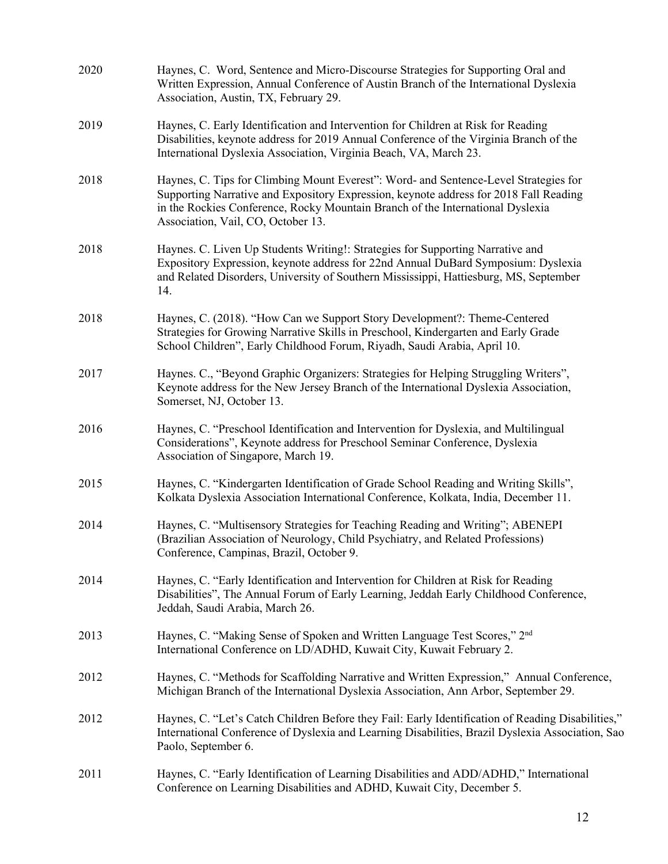| 2020 | Haynes, C. Word, Sentence and Micro-Discourse Strategies for Supporting Oral and<br>Written Expression, Annual Conference of Austin Branch of the International Dyslexia<br>Association, Austin, TX, February 29.                                                                                     |
|------|-------------------------------------------------------------------------------------------------------------------------------------------------------------------------------------------------------------------------------------------------------------------------------------------------------|
| 2019 | Haynes, C. Early Identification and Intervention for Children at Risk for Reading<br>Disabilities, keynote address for 2019 Annual Conference of the Virginia Branch of the<br>International Dyslexia Association, Virginia Beach, VA, March 23.                                                      |
| 2018 | Haynes, C. Tips for Climbing Mount Everest": Word- and Sentence-Level Strategies for<br>Supporting Narrative and Expository Expression, keynote address for 2018 Fall Reading<br>in the Rockies Conference, Rocky Mountain Branch of the International Dyslexia<br>Association, Vail, CO, October 13. |
| 2018 | Haynes. C. Liven Up Students Writing!: Strategies for Supporting Narrative and<br>Expository Expression, keynote address for 22nd Annual DuBard Symposium: Dyslexia<br>and Related Disorders, University of Southern Mississippi, Hattiesburg, MS, September<br>14.                                   |
| 2018 | Haynes, C. (2018). "How Can we Support Story Development?: Theme-Centered<br>Strategies for Growing Narrative Skills in Preschool, Kindergarten and Early Grade<br>School Children", Early Childhood Forum, Riyadh, Saudi Arabia, April 10.                                                           |
| 2017 | Haynes. C., "Beyond Graphic Organizers: Strategies for Helping Struggling Writers",<br>Keynote address for the New Jersey Branch of the International Dyslexia Association,<br>Somerset, NJ, October 13.                                                                                              |
| 2016 | Haynes, C. "Preschool Identification and Intervention for Dyslexia, and Multilingual<br>Considerations", Keynote address for Preschool Seminar Conference, Dyslexia<br>Association of Singapore, March 19.                                                                                            |
| 2015 | Haynes, C. "Kindergarten Identification of Grade School Reading and Writing Skills",<br>Kolkata Dyslexia Association International Conference, Kolkata, India, December 11.                                                                                                                           |
| 2014 | Haynes, C. "Multisensory Strategies for Teaching Reading and Writing"; ABENEPI<br>(Brazilian Association of Neurology, Child Psychiatry, and Related Professions)<br>Conference, Campinas, Brazil, October 9.                                                                                         |
| 2014 | Haynes, C. "Early Identification and Intervention for Children at Risk for Reading<br>Disabilities", The Annual Forum of Early Learning, Jeddah Early Childhood Conference,<br>Jeddah, Saudi Arabia, March 26.                                                                                        |
| 2013 | Haynes, C. "Making Sense of Spoken and Written Language Test Scores," 2 <sup>nd</sup><br>International Conference on LD/ADHD, Kuwait City, Kuwait February 2.                                                                                                                                         |
| 2012 | Haynes, C. "Methods for Scaffolding Narrative and Written Expression," Annual Conference,<br>Michigan Branch of the International Dyslexia Association, Ann Arbor, September 29.                                                                                                                      |
| 2012 | Haynes, C. "Let's Catch Children Before they Fail: Early Identification of Reading Disabilities,"<br>International Conference of Dyslexia and Learning Disabilities, Brazil Dyslexia Association, Sao<br>Paolo, September 6.                                                                          |
| 2011 | Haynes, C. "Early Identification of Learning Disabilities and ADD/ADHD," International<br>Conference on Learning Disabilities and ADHD, Kuwait City, December 5.                                                                                                                                      |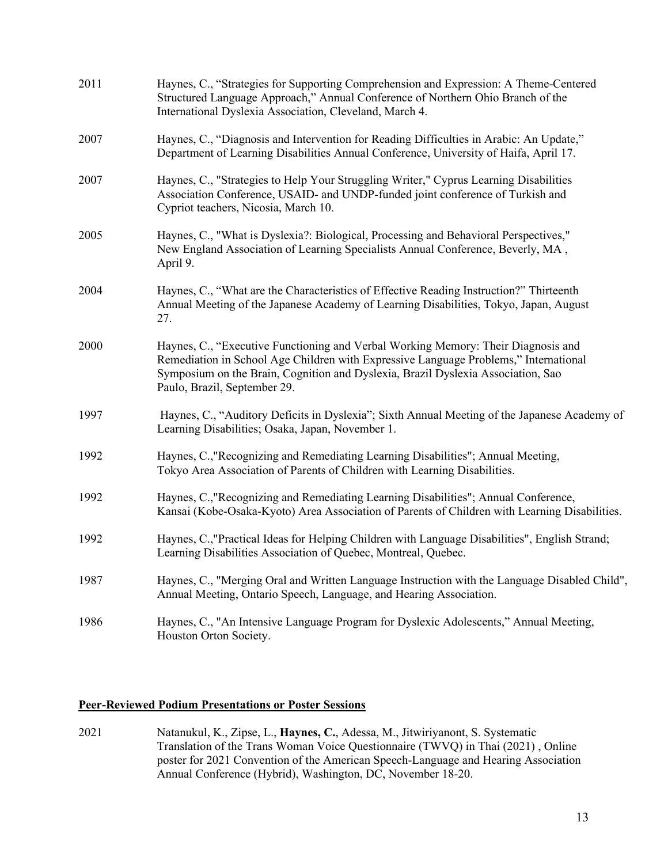| 2011 | Haynes, C., "Strategies for Supporting Comprehension and Expression: A Theme-Centered<br>Structured Language Approach," Annual Conference of Northern Ohio Branch of the<br>International Dyslexia Association, Cleveland, March 4.                                                           |
|------|-----------------------------------------------------------------------------------------------------------------------------------------------------------------------------------------------------------------------------------------------------------------------------------------------|
| 2007 | Haynes, C., "Diagnosis and Intervention for Reading Difficulties in Arabic: An Update,"<br>Department of Learning Disabilities Annual Conference, University of Haifa, April 17.                                                                                                              |
| 2007 | Haynes, C., "Strategies to Help Your Struggling Writer," Cyprus Learning Disabilities<br>Association Conference, USAID- and UNDP-funded joint conference of Turkish and<br>Cypriot teachers, Nicosia, March 10.                                                                               |
| 2005 | Haynes, C., "What is Dyslexia?: Biological, Processing and Behavioral Perspectives,"<br>New England Association of Learning Specialists Annual Conference, Beverly, MA,<br>April 9.                                                                                                           |
| 2004 | Haynes, C., "What are the Characteristics of Effective Reading Instruction?" Thirteenth<br>Annual Meeting of the Japanese Academy of Learning Disabilities, Tokyo, Japan, August<br>27.                                                                                                       |
| 2000 | Haynes, C., "Executive Functioning and Verbal Working Memory: Their Diagnosis and<br>Remediation in School Age Children with Expressive Language Problems," International<br>Symposium on the Brain, Cognition and Dyslexia, Brazil Dyslexia Association, Sao<br>Paulo, Brazil, September 29. |
| 1997 | Haynes, C., "Auditory Deficits in Dyslexia"; Sixth Annual Meeting of the Japanese Academy of<br>Learning Disabilities; Osaka, Japan, November 1.                                                                                                                                              |
| 1992 | Haynes, C., "Recognizing and Remediating Learning Disabilities"; Annual Meeting,<br>Tokyo Area Association of Parents of Children with Learning Disabilities.                                                                                                                                 |
| 1992 | Haynes, C.,"Recognizing and Remediating Learning Disabilities"; Annual Conference,<br>Kansai (Kobe-Osaka-Kyoto) Area Association of Parents of Children with Learning Disabilities.                                                                                                           |
| 1992 | Haynes, C.,"Practical Ideas for Helping Children with Language Disabilities", English Strand;<br>Learning Disabilities Association of Quebec, Montreal, Quebec.                                                                                                                               |
| 1987 | Haynes, C., "Merging Oral and Written Language Instruction with the Language Disabled Child",<br>Annual Meeting, Ontario Speech, Language, and Hearing Association.                                                                                                                           |
| 1986 | Haynes, C., "An Intensive Language Program for Dyslexic Adolescents," Annual Meeting,<br>Houston Orton Society.                                                                                                                                                                               |

## **Peer-Reviewed Podium Presentations or Poster Sessions**

2021 Natanukul, K., Zipse, L., **Haynes, C.**, Adessa, M., Jitwiriyanont, S. Systematic Translation of the Trans Woman Voice Questionnaire (TWVQ) in Thai (2021) , Online poster for 2021 Convention of the American Speech-Language and Hearing Association Annual Conference (Hybrid), Washington, DC, November 18-20.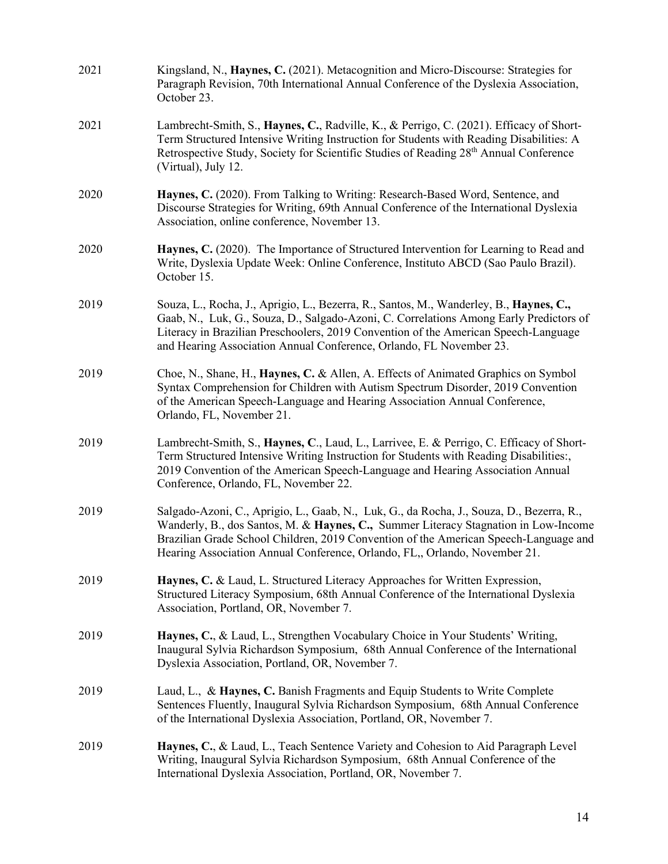| 2021 | Kingsland, N., Haynes, C. (2021). Metacognition and Micro-Discourse: Strategies for<br>Paragraph Revision, 70th International Annual Conference of the Dyslexia Association,<br>October 23.                                                                                                                                                           |
|------|-------------------------------------------------------------------------------------------------------------------------------------------------------------------------------------------------------------------------------------------------------------------------------------------------------------------------------------------------------|
| 2021 | Lambrecht-Smith, S., Haynes, C., Radville, K., & Perrigo, C. (2021). Efficacy of Short-<br>Term Structured Intensive Writing Instruction for Students with Reading Disabilities: A<br>Retrospective Study, Society for Scientific Studies of Reading 28th Annual Conference<br>(Virtual), July 12.                                                    |
| 2020 | Haynes, C. (2020). From Talking to Writing: Research-Based Word, Sentence, and<br>Discourse Strategies for Writing, 69th Annual Conference of the International Dyslexia<br>Association, online conference, November 13.                                                                                                                              |
| 2020 | Haynes, C. (2020). The Importance of Structured Intervention for Learning to Read and<br>Write, Dyslexia Update Week: Online Conference, Instituto ABCD (Sao Paulo Brazil).<br>October 15.                                                                                                                                                            |
| 2019 | Souza, L., Rocha, J., Aprigio, L., Bezerra, R., Santos, M., Wanderley, B., Haynes, C.,<br>Gaab, N., Luk, G., Souza, D., Salgado-Azoni, C. Correlations Among Early Predictors of<br>Literacy in Brazilian Preschoolers, 2019 Convention of the American Speech-Language<br>and Hearing Association Annual Conference, Orlando, FL November 23.        |
| 2019 | Choe, N., Shane, H., Haynes, C. & Allen, A. Effects of Animated Graphics on Symbol<br>Syntax Comprehension for Children with Autism Spectrum Disorder, 2019 Convention<br>of the American Speech-Language and Hearing Association Annual Conference,<br>Orlando, FL, November 21.                                                                     |
| 2019 | Lambrecht-Smith, S., Haynes, C., Laud, L., Larrivee, E. & Perrigo, C. Efficacy of Short-<br>Term Structured Intensive Writing Instruction for Students with Reading Disabilities:,<br>2019 Convention of the American Speech-Language and Hearing Association Annual<br>Conference, Orlando, FL, November 22.                                         |
| 2019 | Salgado-Azoni, C., Aprigio, L., Gaab, N., Luk, G., da Rocha, J., Souza, D., Bezerra, R.,<br>Wanderly, B., dos Santos, M. & Haynes, C., Summer Literacy Stagnation in Low-Income<br>Brazilian Grade School Children, 2019 Convention of the American Speech-Language and<br>Hearing Association Annual Conference, Orlando, FL,, Orlando, November 21. |
| 2019 | Haynes, C. & Laud, L. Structured Literacy Approaches for Written Expression,<br>Structured Literacy Symposium, 68th Annual Conference of the International Dyslexia<br>Association, Portland, OR, November 7.                                                                                                                                         |
| 2019 | Haynes, C., & Laud, L., Strengthen Vocabulary Choice in Your Students' Writing,<br>Inaugural Sylvia Richardson Symposium, 68th Annual Conference of the International<br>Dyslexia Association, Portland, OR, November 7.                                                                                                                              |
| 2019 | Laud, L., & Haynes, C. Banish Fragments and Equip Students to Write Complete<br>Sentences Fluently, Inaugural Sylvia Richardson Symposium, 68th Annual Conference<br>of the International Dyslexia Association, Portland, OR, November 7.                                                                                                             |
| 2019 | Haynes, C., & Laud, L., Teach Sentence Variety and Cohesion to Aid Paragraph Level<br>Writing, Inaugural Sylvia Richardson Symposium, 68th Annual Conference of the<br>International Dyslexia Association, Portland, OR, November 7.                                                                                                                  |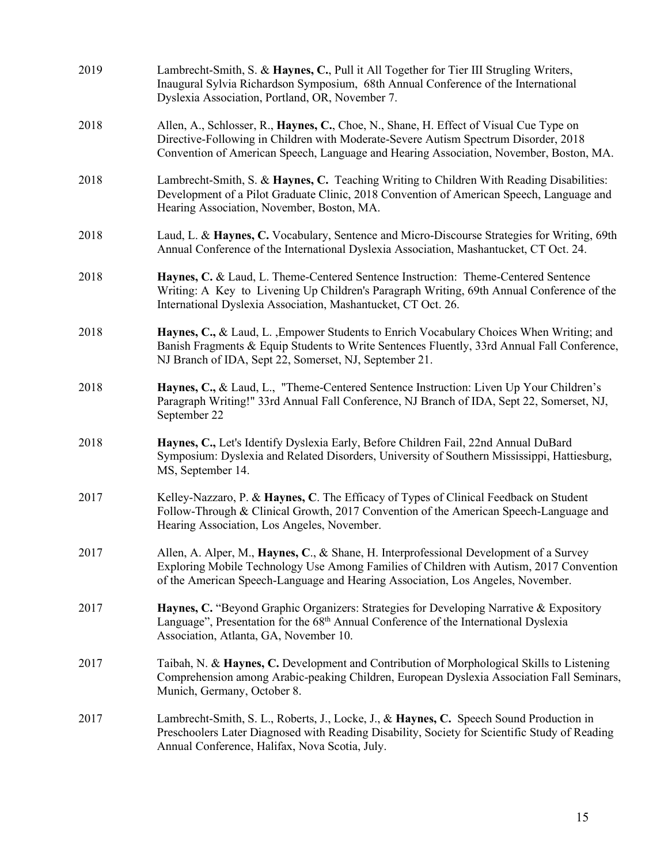| 2019 | Lambrecht-Smith, S. & Haynes, C., Pull it All Together for Tier III Strugling Writers,<br>Inaugural Sylvia Richardson Symposium, 68th Annual Conference of the International<br>Dyslexia Association, Portland, OR, November 7.                                         |
|------|-------------------------------------------------------------------------------------------------------------------------------------------------------------------------------------------------------------------------------------------------------------------------|
| 2018 | Allen, A., Schlosser, R., Haynes, C., Choe, N., Shane, H. Effect of Visual Cue Type on<br>Directive-Following in Children with Moderate-Severe Autism Spectrum Disorder, 2018<br>Convention of American Speech, Language and Hearing Association, November, Boston, MA. |
| 2018 | Lambrecht-Smith, S. & Haynes, C. Teaching Writing to Children With Reading Disabilities:<br>Development of a Pilot Graduate Clinic, 2018 Convention of American Speech, Language and<br>Hearing Association, November, Boston, MA.                                      |
| 2018 | Laud, L. & Haynes, C. Vocabulary, Sentence and Micro-Discourse Strategies for Writing, 69th<br>Annual Conference of the International Dyslexia Association, Mashantucket, CT Oct. 24.                                                                                   |
| 2018 | Haynes, C. & Laud, L. Theme-Centered Sentence Instruction: Theme-Centered Sentence<br>Writing: A Key to Livening Up Children's Paragraph Writing, 69th Annual Conference of the<br>International Dyslexia Association, Mashantucket, CT Oct. 26.                        |
| 2018 | Haynes, C., & Laud, L., Empower Students to Enrich Vocabulary Choices When Writing; and<br>Banish Fragments & Equip Students to Write Sentences Fluently, 33rd Annual Fall Conference,<br>NJ Branch of IDA, Sept 22, Somerset, NJ, September 21.                        |
| 2018 | Haynes, C., & Laud, L., "Theme-Centered Sentence Instruction: Liven Up Your Children's<br>Paragraph Writing!" 33rd Annual Fall Conference, NJ Branch of IDA, Sept 22, Somerset, NJ,<br>September 22                                                                     |
| 2018 | Haynes, C., Let's Identify Dyslexia Early, Before Children Fail, 22nd Annual DuBard<br>Symposium: Dyslexia and Related Disorders, University of Southern Mississippi, Hattiesburg,<br>MS, September 14.                                                                 |
| 2017 | Kelley-Nazzaro, P. & Haynes, C. The Efficacy of Types of Clinical Feedback on Student<br>Follow-Through & Clinical Growth, 2017 Convention of the American Speech-Language and<br>Hearing Association, Los Angeles, November.                                           |
| 2017 | Allen, A. Alper, M., Haynes, C., & Shane, H. Interprofessional Development of a Survey<br>Exploring Mobile Technology Use Among Families of Children with Autism, 2017 Convention<br>of the American Speech-Language and Hearing Association, Los Angeles, November.    |
| 2017 | Haynes, C. "Beyond Graphic Organizers: Strategies for Developing Narrative & Expository<br>Language", Presentation for the 68 <sup>th</sup> Annual Conference of the International Dyslexia<br>Association, Atlanta, GA, November 10.                                   |
| 2017 | Taibah, N. & Haynes, C. Development and Contribution of Morphological Skills to Listening<br>Comprehension among Arabic-peaking Children, European Dyslexia Association Fall Seminars,<br>Munich, Germany, October 8.                                                   |
| 2017 | Lambrecht-Smith, S. L., Roberts, J., Locke, J., & Haynes, C. Speech Sound Production in<br>Preschoolers Later Diagnosed with Reading Disability, Society for Scientific Study of Reading<br>Annual Conference, Halifax, Nova Scotia, July.                              |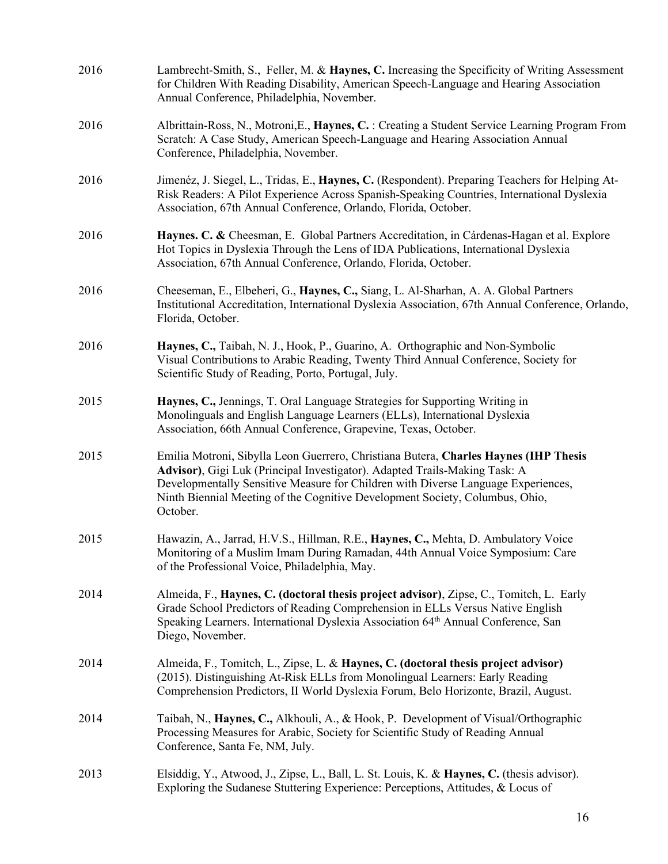| 2016 | Lambrecht-Smith, S., Feller, M. & Haynes, C. Increasing the Specificity of Writing Assessment<br>for Children With Reading Disability, American Speech-Language and Hearing Association<br>Annual Conference, Philadelphia, November.                                                                                                               |
|------|-----------------------------------------------------------------------------------------------------------------------------------------------------------------------------------------------------------------------------------------------------------------------------------------------------------------------------------------------------|
| 2016 | Albrittain-Ross, N., Motroni, E., Haynes, C. : Creating a Student Service Learning Program From<br>Scratch: A Case Study, American Speech-Language and Hearing Association Annual<br>Conference, Philadelphia, November.                                                                                                                            |
| 2016 | Jimenéz, J. Siegel, L., Tridas, E., Haynes, C. (Respondent). Preparing Teachers for Helping At-<br>Risk Readers: A Pilot Experience Across Spanish-Speaking Countries, International Dyslexia<br>Association, 67th Annual Conference, Orlando, Florida, October.                                                                                    |
| 2016 | Haynes. C. & Cheesman, E. Global Partners Accreditation, in Cárdenas-Hagan et al. Explore<br>Hot Topics in Dyslexia Through the Lens of IDA Publications, International Dyslexia<br>Association, 67th Annual Conference, Orlando, Florida, October.                                                                                                 |
| 2016 | Cheeseman, E., Elbeheri, G., Haynes, C., Siang, L. Al-Sharhan, A. A. Global Partners<br>Institutional Accreditation, International Dyslexia Association, 67th Annual Conference, Orlando,<br>Florida, October.                                                                                                                                      |
| 2016 | Haynes, C., Taibah, N. J., Hook, P., Guarino, A. Orthographic and Non-Symbolic<br>Visual Contributions to Arabic Reading, Twenty Third Annual Conference, Society for<br>Scientific Study of Reading, Porto, Portugal, July.                                                                                                                        |
| 2015 | Haynes, C., Jennings, T. Oral Language Strategies for Supporting Writing in<br>Monolinguals and English Language Learners (ELLs), International Dyslexia<br>Association, 66th Annual Conference, Grapevine, Texas, October.                                                                                                                         |
| 2015 | Emilia Motroni, Sibylla Leon Guerrero, Christiana Butera, Charles Haynes (IHP Thesis<br>Advisor), Gigi Luk (Principal Investigator). Adapted Trails-Making Task: A<br>Developmentally Sensitive Measure for Children with Diverse Language Experiences,<br>Ninth Biennial Meeting of the Cognitive Development Society, Columbus, Ohio,<br>October. |
| 2015 | Hawazin, A., Jarrad, H.V.S., Hillman, R.E., Haynes, C., Mehta, D. Ambulatory Voice<br>Monitoring of a Muslim Imam During Ramadan, 44th Annual Voice Symposium: Care<br>of the Professional Voice, Philadelphia, May.                                                                                                                                |
| 2014 | Almeida, F., Haynes, C. (doctoral thesis project advisor), Zipse, C., Tomitch, L. Early<br>Grade School Predictors of Reading Comprehension in ELLs Versus Native English<br>Speaking Learners. International Dyslexia Association 64 <sup>th</sup> Annual Conference, San<br>Diego, November.                                                      |
| 2014 | Almeida, F., Tomitch, L., Zipse, L. & Haynes, C. (doctoral thesis project advisor)<br>(2015). Distinguishing At-Risk ELLs from Monolingual Learners: Early Reading<br>Comprehension Predictors, II World Dyslexia Forum, Belo Horizonte, Brazil, August.                                                                                            |
| 2014 | Taibah, N., Haynes, C., Alkhouli, A., & Hook, P. Development of Visual/Orthographic<br>Processing Measures for Arabic, Society for Scientific Study of Reading Annual<br>Conference, Santa Fe, NM, July.                                                                                                                                            |
| 2013 | Elsiddig, Y., Atwood, J., Zipse, L., Ball, L. St. Louis, K. & Haynes, C. (thesis advisor).<br>Exploring the Sudanese Stuttering Experience: Perceptions, Attitudes, & Locus of                                                                                                                                                                      |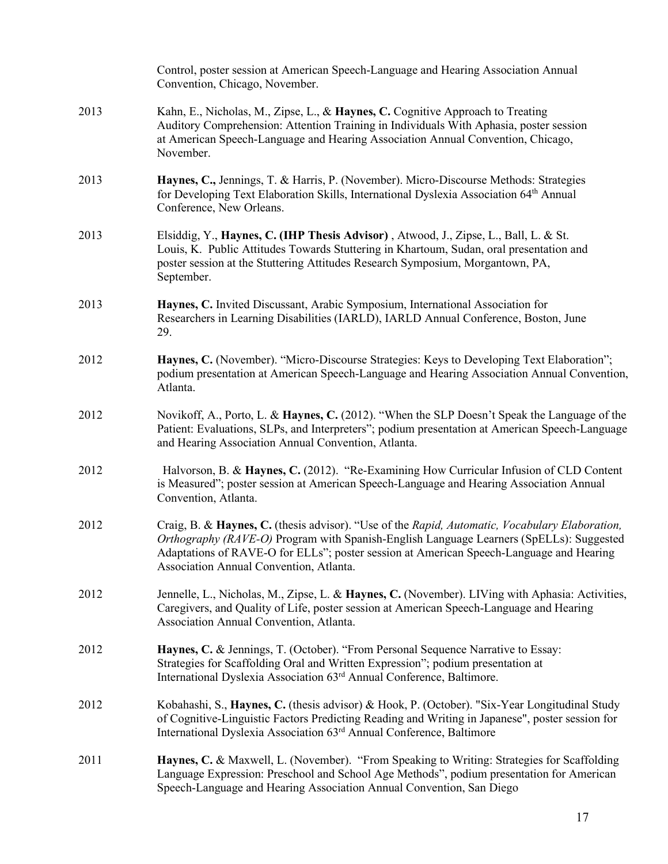|      | Control, poster session at American Speech-Language and Hearing Association Annual<br>Convention, Chicago, November.                                                                                                                                                                                                            |
|------|---------------------------------------------------------------------------------------------------------------------------------------------------------------------------------------------------------------------------------------------------------------------------------------------------------------------------------|
| 2013 | Kahn, E., Nicholas, M., Zipse, L., & Haynes, C. Cognitive Approach to Treating<br>Auditory Comprehension: Attention Training in Individuals With Aphasia, poster session<br>at American Speech-Language and Hearing Association Annual Convention, Chicago,<br>November.                                                        |
| 2013 | Haynes, C., Jennings, T. & Harris, P. (November). Micro-Discourse Methods: Strategies<br>for Developing Text Elaboration Skills, International Dyslexia Association 64th Annual<br>Conference, New Orleans.                                                                                                                     |
| 2013 | Elsiddig, Y., Haynes, C. (IHP Thesis Advisor), Atwood, J., Zipse, L., Ball, L. & St.<br>Louis, K. Public Attitudes Towards Stuttering in Khartoum, Sudan, oral presentation and<br>poster session at the Stuttering Attitudes Research Symposium, Morgantown, PA,<br>September.                                                 |
| 2013 | Haynes, C. Invited Discussant, Arabic Symposium, International Association for<br>Researchers in Learning Disabilities (IARLD), IARLD Annual Conference, Boston, June<br>29.                                                                                                                                                    |
| 2012 | Haynes, C. (November). "Micro-Discourse Strategies: Keys to Developing Text Elaboration";<br>podium presentation at American Speech-Language and Hearing Association Annual Convention,<br>Atlanta.                                                                                                                             |
| 2012 | Novikoff, A., Porto, L. & Haynes, C. (2012). "When the SLP Doesn't Speak the Language of the<br>Patient: Evaluations, SLPs, and Interpreters"; podium presentation at American Speech-Language<br>and Hearing Association Annual Convention, Atlanta.                                                                           |
| 2012 | Halvorson, B. & Haynes, C. (2012). "Re-Examining How Curricular Infusion of CLD Content<br>is Measured"; poster session at American Speech-Language and Hearing Association Annual<br>Convention, Atlanta.                                                                                                                      |
| 2012 | Craig, B. & Haynes, C. (thesis advisor). "Use of the Rapid, Automatic, Vocabulary Elaboration,<br>Orthography (RAVE-O) Program with Spanish-English Language Learners (SpELLs): Suggested<br>Adaptations of RAVE-O for ELLs"; poster session at American Speech-Language and Hearing<br>Association Annual Convention, Atlanta. |
| 2012 | Jennelle, L., Nicholas, M., Zipse, L. & Haynes, C. (November). LIVing with Aphasia: Activities,<br>Caregivers, and Quality of Life, poster session at American Speech-Language and Hearing<br>Association Annual Convention, Atlanta.                                                                                           |
| 2012 | Haynes, C. & Jennings, T. (October). "From Personal Sequence Narrative to Essay:<br>Strategies for Scaffolding Oral and Written Expression"; podium presentation at<br>International Dyslexia Association 63 <sup>rd</sup> Annual Conference, Baltimore.                                                                        |
| 2012 | Kobahashi, S., Haynes, C. (thesis advisor) & Hook, P. (October). "Six-Year Longitudinal Study<br>of Cognitive-Linguistic Factors Predicting Reading and Writing in Japanese", poster session for<br>International Dyslexia Association 63rd Annual Conference, Baltimore                                                        |
| 2011 | Haynes, C. & Maxwell, L. (November). "From Speaking to Writing: Strategies for Scaffolding<br>Language Expression: Preschool and School Age Methods", podium presentation for American<br>Speech-Language and Hearing Association Annual Convention, San Diego                                                                  |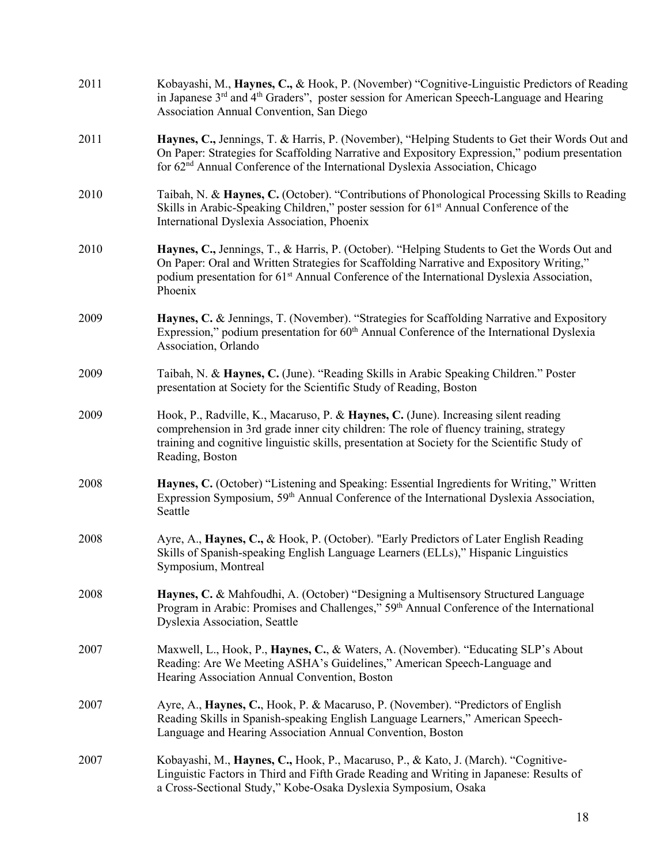| 2011 | Kobayashi, M., Haynes, C., & Hook, P. (November) "Cognitive-Linguistic Predictors of Reading<br>in Japanese 3 <sup>rd</sup> and 4 <sup>th</sup> Graders", poster session for American Speech-Language and Hearing<br>Association Annual Convention, San Diego                                                |
|------|--------------------------------------------------------------------------------------------------------------------------------------------------------------------------------------------------------------------------------------------------------------------------------------------------------------|
| 2011 | Haynes, C., Jennings, T. & Harris, P. (November), "Helping Students to Get their Words Out and<br>On Paper: Strategies for Scaffolding Narrative and Expository Expression," podium presentation<br>for 62 <sup>nd</sup> Annual Conference of the International Dyslexia Association, Chicago                |
| 2010 | Taibah, N. & Haynes, C. (October). "Contributions of Phonological Processing Skills to Reading<br>Skills in Arabic-Speaking Children," poster session for 61 <sup>st</sup> Annual Conference of the<br>International Dyslexia Association, Phoenix                                                           |
| 2010 | Haynes, C., Jennings, T., & Harris, P. (October). "Helping Students to Get the Words Out and<br>On Paper: Oral and Written Strategies for Scaffolding Narrative and Expository Writing,"<br>podium presentation for 61 <sup>st</sup> Annual Conference of the International Dyslexia Association,<br>Phoenix |
| 2009 | Haynes, C. & Jennings, T. (November). "Strategies for Scaffolding Narrative and Expository<br>Expression," podium presentation for 60 <sup>th</sup> Annual Conference of the International Dyslexia<br>Association, Orlando                                                                                  |
| 2009 | Taibah, N. & Haynes, C. (June). "Reading Skills in Arabic Speaking Children." Poster<br>presentation at Society for the Scientific Study of Reading, Boston                                                                                                                                                  |
| 2009 | Hook, P., Radville, K., Macaruso, P. & Haynes, C. (June). Increasing silent reading<br>comprehension in 3rd grade inner city children: The role of fluency training, strategy<br>training and cognitive linguistic skills, presentation at Society for the Scientific Study of<br>Reading, Boston            |
| 2008 | Haynes, C. (October) "Listening and Speaking: Essential Ingredients for Writing," Written<br>Expression Symposium, 59 <sup>th</sup> Annual Conference of the International Dyslexia Association,<br>Seattle                                                                                                  |
| 2008 | Ayre, A., Haynes, C., & Hook, P. (October). "Early Predictors of Later English Reading<br>Skills of Spanish-speaking English Language Learners (ELLs)," Hispanic Linguistics<br>Symposium, Montreal                                                                                                          |
| 2008 | Haynes, C. & Mahfoudhi, A. (October) "Designing a Multisensory Structured Language<br>Program in Arabic: Promises and Challenges," 59th Annual Conference of the International<br><b>Dyslexia Association</b> , Seattle                                                                                      |
| 2007 | Maxwell, L., Hook, P., Haynes, C., & Waters, A. (November). "Educating SLP's About<br>Reading: Are We Meeting ASHA's Guidelines," American Speech-Language and<br>Hearing Association Annual Convention, Boston                                                                                              |
| 2007 | Ayre, A., Haynes, C., Hook, P. & Macaruso, P. (November). "Predictors of English<br>Reading Skills in Spanish-speaking English Language Learners," American Speech-<br>Language and Hearing Association Annual Convention, Boston                                                                            |
| 2007 | Kobayashi, M., Haynes, C., Hook, P., Macaruso, P., & Kato, J. (March). "Cognitive-<br>Linguistic Factors in Third and Fifth Grade Reading and Writing in Japanese: Results of<br>a Cross-Sectional Study," Kobe-Osaka Dyslexia Symposium, Osaka                                                              |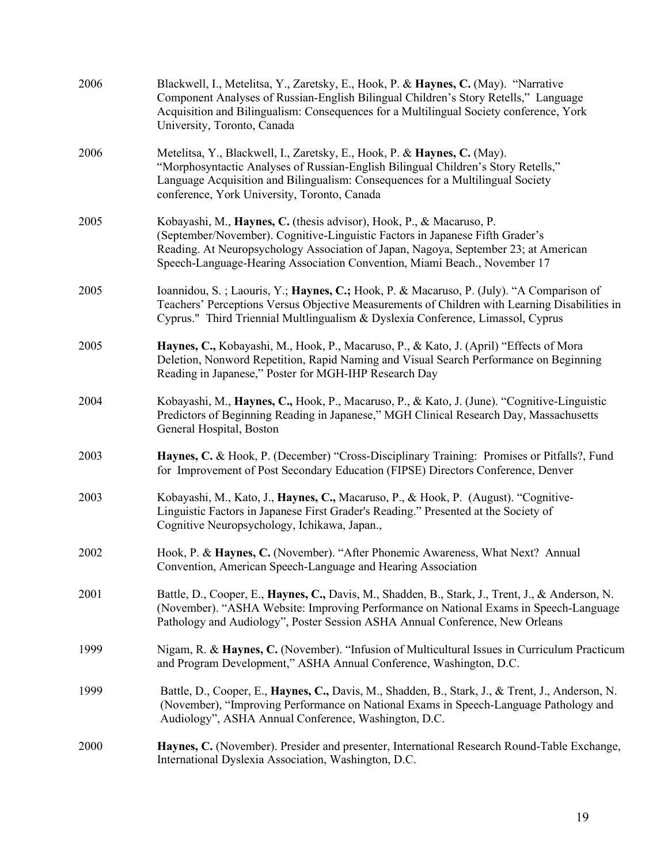| 2006 | Blackwell, I., Metelitsa, Y., Zaretsky, E., Hook, P. & Haynes, C. (May). "Narrative<br>Component Analyses of Russian-English Bilingual Children's Story Retells," Language<br>Acquisition and Bilingualism: Consequences for a Multilingual Society conference, York<br>University, Toronto, Canada                       |
|------|---------------------------------------------------------------------------------------------------------------------------------------------------------------------------------------------------------------------------------------------------------------------------------------------------------------------------|
| 2006 | Metelitsa, Y., Blackwell, I., Zaretsky, E., Hook, P. & Haynes, C. (May).<br>"Morphosyntactic Analyses of Russian-English Bilingual Children's Story Retells,"<br>Language Acquisition and Bilingualism: Consequences for a Multilingual Society<br>conference, York University, Toronto, Canada                           |
| 2005 | Kobayashi, M., Haynes, C. (thesis advisor), Hook, P., & Macaruso, P.<br>(September/November). Cognitive-Linguistic Factors in Japanese Fifth Grader's<br>Reading. At Neuropsychology Association of Japan, Nagoya, September 23; at American<br>Speech-Language-Hearing Association Convention, Miami Beach., November 17 |
| 2005 | Ioannidou, S.; Laouris, Y.; Haynes, C.; Hook, P. & Macaruso, P. (July). "A Comparison of<br>Teachers' Perceptions Versus Objective Measurements of Children with Learning Disabilities in<br>Cyprus." Third Triennial Multlingualism & Dyslexia Conference, Limassol, Cyprus                                              |
| 2005 | Haynes, C., Kobayashi, M., Hook, P., Macaruso, P., & Kato, J. (April) "Effects of Mora<br>Deletion, Nonword Repetition, Rapid Naming and Visual Search Performance on Beginning<br>Reading in Japanese," Poster for MGH-IHP Research Day                                                                                  |
| 2004 | Kobayashi, M., Haynes, C., Hook, P., Macaruso, P., & Kato, J. (June). "Cognitive-Linguistic<br>Predictors of Beginning Reading in Japanese," MGH Clinical Research Day, Massachusetts<br>General Hospital, Boston                                                                                                         |
| 2003 | Haynes, C. & Hook, P. (December) "Cross-Disciplinary Training: Promises or Pitfalls?, Fund<br>for Improvement of Post Secondary Education (FIPSE) Directors Conference, Denver                                                                                                                                            |
| 2003 | Kobayashi, M., Kato, J., Haynes, C., Macaruso, P., & Hook, P. (August). "Cognitive-<br>Linguistic Factors in Japanese First Grader's Reading." Presented at the Society of<br>Cognitive Neuropsychology, Ichikawa, Japan.,                                                                                                |
| 2002 | Hook, P. & Haynes, C. (November). "After Phonemic Awareness, What Next? Annual<br>Convention, American Speech-Language and Hearing Association                                                                                                                                                                            |
| 2001 | Battle, D., Cooper, E., Haynes, C., Davis, M., Shadden, B., Stark, J., Trent, J., & Anderson, N.<br>(November). "ASHA Website: Improving Performance on National Exams in Speech-Language<br>Pathology and Audiology", Poster Session ASHA Annual Conference, New Orleans                                                 |
| 1999 | Nigam, R. & Haynes, C. (November). "Infusion of Multicultural Issues in Curriculum Practicum<br>and Program Development," ASHA Annual Conference, Washington, D.C.                                                                                                                                                        |
| 1999 | Battle, D., Cooper, E., Haynes, C., Davis, M., Shadden, B., Stark, J., & Trent, J., Anderson, N.<br>(November), "Improving Performance on National Exams in Speech-Language Pathology and<br>Audiology", ASHA Annual Conference, Washington, D.C.                                                                         |
| 2000 | Haynes, C. (November). Presider and presenter, International Research Round-Table Exchange,<br>International Dyslexia Association, Washington, D.C.                                                                                                                                                                       |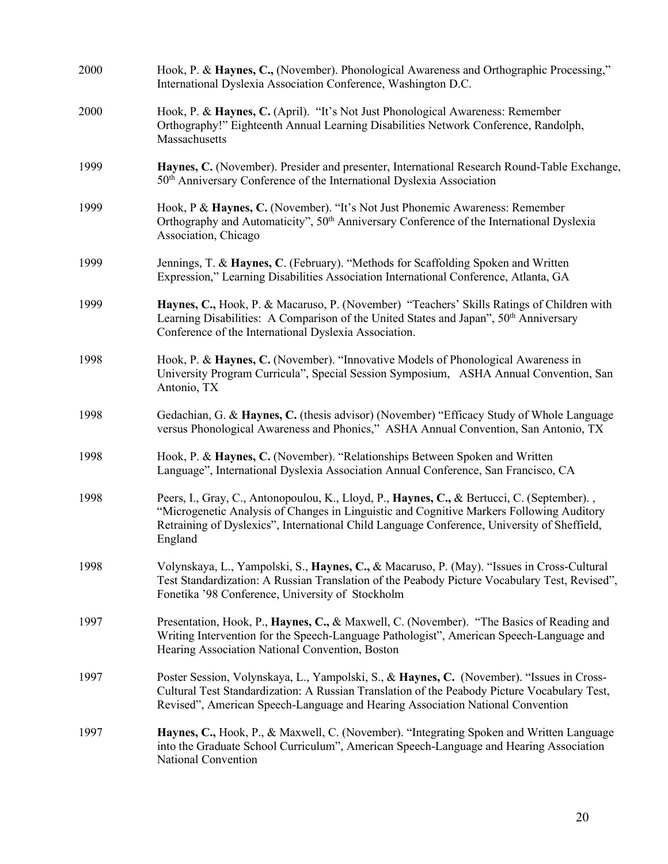| 2000 | Hook, P. & Haynes, C., (November). Phonological Awareness and Orthographic Processing,"<br>International Dyslexia Association Conference, Washington D.C.                                                                                                                                       |
|------|-------------------------------------------------------------------------------------------------------------------------------------------------------------------------------------------------------------------------------------------------------------------------------------------------|
| 2000 | Hook, P. & Haynes, C. (April). "It's Not Just Phonological Awareness: Remember<br>Orthography!" Eighteenth Annual Learning Disabilities Network Conference, Randolph,<br>Massachusetts                                                                                                          |
| 1999 | Haynes, C. (November). Presider and presenter, International Research Round-Table Exchange,<br>50 <sup>th</sup> Anniversary Conference of the International Dyslexia Association                                                                                                                |
| 1999 | Hook, P & Haynes, C. (November). "It's Not Just Phonemic Awareness: Remember<br>Orthography and Automaticity", 50 <sup>th</sup> Anniversary Conference of the International Dyslexia<br>Association, Chicago                                                                                    |
| 1999 | Jennings, T. & Haynes, C. (February). "Methods for Scaffolding Spoken and Written<br>Expression," Learning Disabilities Association International Conference, Atlanta, GA                                                                                                                       |
| 1999 | Haynes, C., Hook, P. & Macaruso, P. (November) "Teachers' Skills Ratings of Children with<br>Learning Disabilities: A Comparison of the United States and Japan", 50 <sup>th</sup> Anniversary<br>Conference of the International Dyslexia Association.                                         |
| 1998 | Hook, P. & Haynes, C. (November). "Innovative Models of Phonological Awareness in<br>University Program Curricula", Special Session Symposium, ASHA Annual Convention, San<br>Antonio, TX                                                                                                       |
| 1998 | Gedachian, G. & Haynes, C. (thesis advisor) (November) "Efficacy Study of Whole Language<br>versus Phonological Awareness and Phonics," ASHA Annual Convention, San Antonio, TX                                                                                                                 |
| 1998 | Hook, P. & Haynes, C. (November). "Relationships Between Spoken and Written<br>Language", International Dyslexia Association Annual Conference, San Francisco, CA                                                                                                                               |
| 1998 | Peers, I., Gray, C., Antonopoulou, K., Lloyd, P., Haynes, C., & Bertucci, C. (September).<br>"Microgenetic Analysis of Changes in Linguistic and Cognitive Markers Following Auditory<br>Retraining of Dyslexics", International Child Language Conference, University of Sheffield,<br>England |
| 1998 | Volynskaya, L., Yampolski, S., Haynes, C., & Macaruso, P. (May). "Issues in Cross-Cultural<br>Test Standardization: A Russian Translation of the Peabody Picture Vocabulary Test, Revised",<br>Fonetika '98 Conference, University of Stockholm                                                 |
| 1997 | Presentation, Hook, P., Haynes, C., & Maxwell, C. (November). "The Basics of Reading and<br>Writing Intervention for the Speech-Language Pathologist", American Speech-Language and<br>Hearing Association National Convention, Boston                                                          |
| 1997 | Poster Session, Volynskaya, L., Yampolski, S., & Haynes, C. (November). "Issues in Cross-<br>Cultural Test Standardization: A Russian Translation of the Peabody Picture Vocabulary Test,<br>Revised", American Speech-Language and Hearing Association National Convention                     |
| 1997 | Haynes, C., Hook, P., & Maxwell, C. (November). "Integrating Spoken and Written Language<br>into the Graduate School Curriculum", American Speech-Language and Hearing Association<br>National Convention                                                                                       |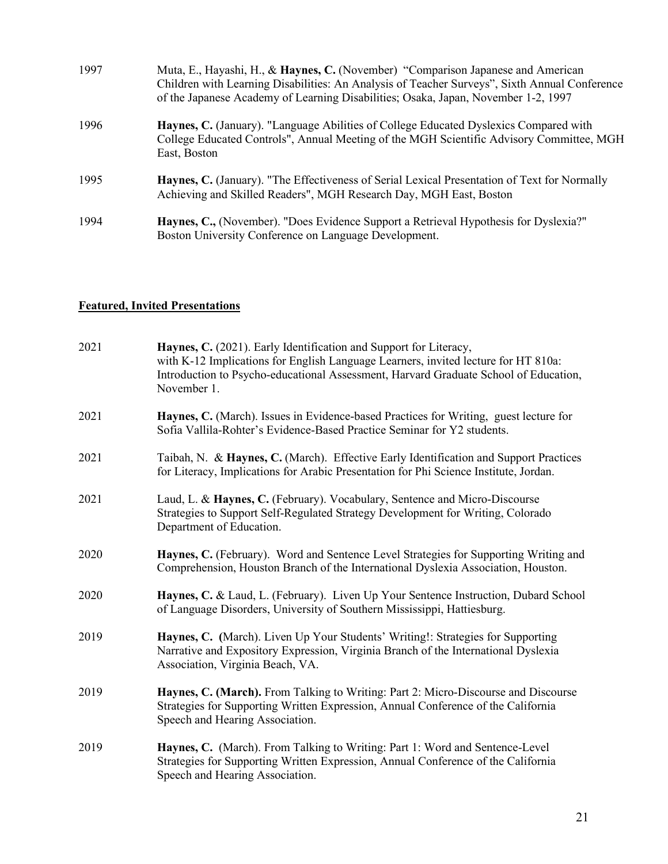| 1997 | Muta, E., Hayashi, H., & Haynes, C. (November) "Comparison Japanese and American<br>Children with Learning Disabilities: An Analysis of Teacher Surveys", Sixth Annual Conference<br>of the Japanese Academy of Learning Disabilities; Osaka, Japan, November 1-2, 1997 |
|------|-------------------------------------------------------------------------------------------------------------------------------------------------------------------------------------------------------------------------------------------------------------------------|
| 1996 | Haynes, C. (January). "Language Abilities of College Educated Dyslexics Compared with<br>College Educated Controls", Annual Meeting of the MGH Scientific Advisory Committee, MGH<br>East, Boston                                                                       |
| 1995 | <b>Haynes, C.</b> (January). "The Effectiveness of Serial Lexical Presentation of Text for Normally<br>Achieving and Skilled Readers", MGH Research Day, MGH East, Boston                                                                                               |
| 1994 | Haynes, C., (November). "Does Evidence Support a Retrieval Hypothesis for Dyslexia?"<br>Boston University Conference on Language Development.                                                                                                                           |

## **Featured, Invited Presentations**

| 2021 | Haynes, C. (2021). Early Identification and Support for Literacy,<br>with K-12 Implications for English Language Learners, invited lecture for HT 810a:<br>Introduction to Psycho-educational Assessment, Harvard Graduate School of Education,<br>November 1. |
|------|----------------------------------------------------------------------------------------------------------------------------------------------------------------------------------------------------------------------------------------------------------------|
| 2021 | Haynes, C. (March). Issues in Evidence-based Practices for Writing, guest lecture for<br>Sofia Vallila-Rohter's Evidence-Based Practice Seminar for Y2 students.                                                                                               |
| 2021 | Taibah, N. & Haynes, C. (March). Effective Early Identification and Support Practices<br>for Literacy, Implications for Arabic Presentation for Phi Science Institute, Jordan.                                                                                 |
| 2021 | Laud, L. & Haynes, C. (February). Vocabulary, Sentence and Micro-Discourse<br>Strategies to Support Self-Regulated Strategy Development for Writing, Colorado<br>Department of Education.                                                                      |
| 2020 | Haynes, C. (February). Word and Sentence Level Strategies for Supporting Writing and<br>Comprehension, Houston Branch of the International Dyslexia Association, Houston.                                                                                      |
| 2020 | Haynes, C. & Laud, L. (February). Liven Up Your Sentence Instruction, Dubard School<br>of Language Disorders, University of Southern Mississippi, Hattiesburg.                                                                                                 |
| 2019 | Haynes, C. (March). Liven Up Your Students' Writing!: Strategies for Supporting<br>Narrative and Expository Expression, Virginia Branch of the International Dyslexia<br>Association, Virginia Beach, VA.                                                      |
| 2019 | Haynes, C. (March). From Talking to Writing: Part 2: Micro-Discourse and Discourse<br>Strategies for Supporting Written Expression, Annual Conference of the California<br>Speech and Hearing Association.                                                     |
| 2019 | Haynes, C. (March). From Talking to Writing: Part 1: Word and Sentence-Level<br>Strategies for Supporting Written Expression, Annual Conference of the California<br>Speech and Hearing Association.                                                           |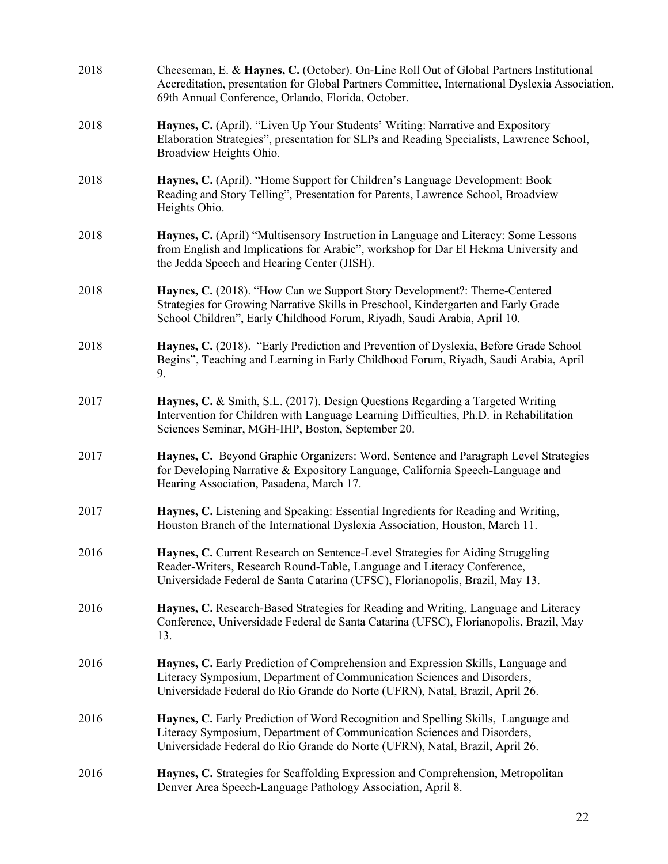| 2018 | Cheeseman, E. & Haynes, C. (October). On-Line Roll Out of Global Partners Institutional<br>Accreditation, presentation for Global Partners Committee, International Dyslexia Association,<br>69th Annual Conference, Orlando, Florida, October. |
|------|-------------------------------------------------------------------------------------------------------------------------------------------------------------------------------------------------------------------------------------------------|
| 2018 | Haynes, C. (April). "Liven Up Your Students' Writing: Narrative and Expository<br>Elaboration Strategies", presentation for SLPs and Reading Specialists, Lawrence School,<br>Broadview Heights Ohio.                                           |
| 2018 | Haynes, C. (April). "Home Support for Children's Language Development: Book<br>Reading and Story Telling", Presentation for Parents, Lawrence School, Broadview<br>Heights Ohio.                                                                |
| 2018 | Haynes, C. (April) "Multisensory Instruction in Language and Literacy: Some Lessons<br>from English and Implications for Arabic", workshop for Dar El Hekma University and<br>the Jedda Speech and Hearing Center (JISH).                       |
| 2018 | Haynes, C. (2018). "How Can we Support Story Development?: Theme-Centered<br>Strategies for Growing Narrative Skills in Preschool, Kindergarten and Early Grade<br>School Children", Early Childhood Forum, Riyadh, Saudi Arabia, April 10.     |
| 2018 | Haynes, C. (2018). "Early Prediction and Prevention of Dyslexia, Before Grade School<br>Begins", Teaching and Learning in Early Childhood Forum, Riyadh, Saudi Arabia, April<br>9.                                                              |
| 2017 | Haynes, C. & Smith, S.L. (2017). Design Questions Regarding a Targeted Writing<br>Intervention for Children with Language Learning Difficulties, Ph.D. in Rehabilitation<br>Sciences Seminar, MGH-IHP, Boston, September 20.                    |
| 2017 | Haynes, C. Beyond Graphic Organizers: Word, Sentence and Paragraph Level Strategies<br>for Developing Narrative & Expository Language, California Speech-Language and<br>Hearing Association, Pasadena, March 17.                               |
| 2017 | Haynes, C. Listening and Speaking: Essential Ingredients for Reading and Writing,<br>Houston Branch of the International Dyslexia Association, Houston, March 11.                                                                               |
| 2016 | Haynes, C. Current Research on Sentence-Level Strategies for Aiding Struggling<br>Reader-Writers, Research Round-Table, Language and Literacy Conference,<br>Universidade Federal de Santa Catarina (UFSC), Florianopolis, Brazil, May 13.      |
| 2016 | Haynes, C. Research-Based Strategies for Reading and Writing, Language and Literacy<br>Conference, Universidade Federal de Santa Catarina (UFSC), Florianopolis, Brazil, May<br>13.                                                             |
| 2016 | Haynes, C. Early Prediction of Comprehension and Expression Skills, Language and<br>Literacy Symposium, Department of Communication Sciences and Disorders,<br>Universidade Federal do Rio Grande do Norte (UFRN), Natal, Brazil, April 26.     |
| 2016 | Haynes, C. Early Prediction of Word Recognition and Spelling Skills, Language and<br>Literacy Symposium, Department of Communication Sciences and Disorders,<br>Universidade Federal do Rio Grande do Norte (UFRN), Natal, Brazil, April 26.    |
| 2016 | Haynes, C. Strategies for Scaffolding Expression and Comprehension, Metropolitan<br>Denver Area Speech-Language Pathology Association, April 8.                                                                                                 |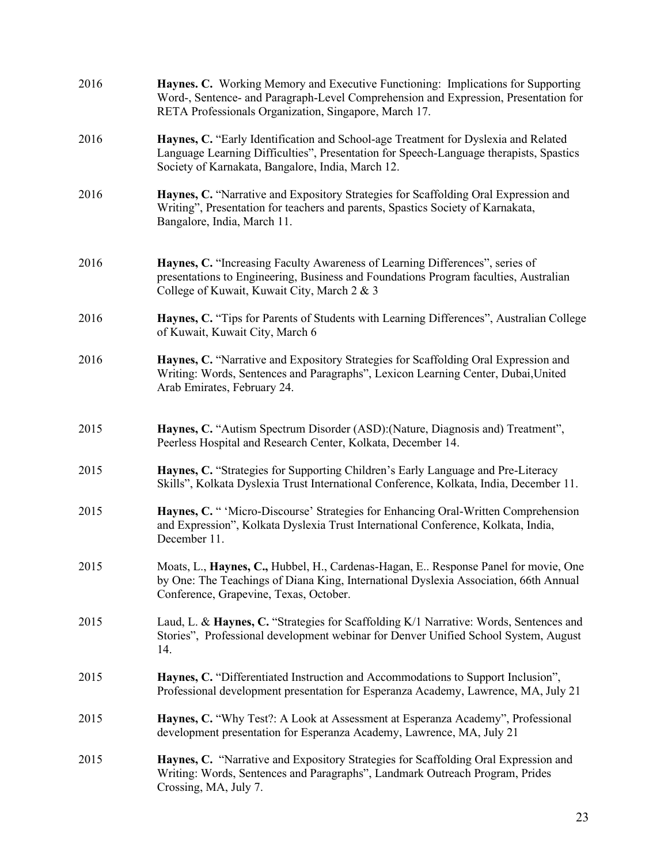| 2016 | Haynes. C. Working Memory and Executive Functioning: Implications for Supporting<br>Word-, Sentence- and Paragraph-Level Comprehension and Expression, Presentation for<br>RETA Professionals Organization, Singapore, March 17.  |
|------|-----------------------------------------------------------------------------------------------------------------------------------------------------------------------------------------------------------------------------------|
| 2016 | Haynes, C. "Early Identification and School-age Treatment for Dyslexia and Related<br>Language Learning Difficulties", Presentation for Speech-Language therapists, Spastics<br>Society of Karnakata, Bangalore, India, March 12. |
| 2016 | Haynes, C. "Narrative and Expository Strategies for Scaffolding Oral Expression and<br>Writing", Presentation for teachers and parents, Spastics Society of Karnakata,<br>Bangalore, India, March 11.                             |
| 2016 | Haynes, C. "Increasing Faculty Awareness of Learning Differences", series of<br>presentations to Engineering, Business and Foundations Program faculties, Australian<br>College of Kuwait, Kuwait City, March 2 & 3               |
| 2016 | Haynes, C. "Tips for Parents of Students with Learning Differences", Australian College<br>of Kuwait, Kuwait City, March 6                                                                                                        |
| 2016 | Haynes, C. "Narrative and Expository Strategies for Scaffolding Oral Expression and<br>Writing: Words, Sentences and Paragraphs", Lexicon Learning Center, Dubai, United<br>Arab Emirates, February 24.                           |
| 2015 | Haynes, C. "Autism Spectrum Disorder (ASD): (Nature, Diagnosis and) Treatment",<br>Peerless Hospital and Research Center, Kolkata, December 14.                                                                                   |
| 2015 | Haynes, C. "Strategies for Supporting Children's Early Language and Pre-Literacy<br>Skills", Kolkata Dyslexia Trust International Conference, Kolkata, India, December 11.                                                        |
| 2015 | Haynes, C. " 'Micro-Discourse' Strategies for Enhancing Oral-Written Comprehension<br>and Expression", Kolkata Dyslexia Trust International Conference, Kolkata, India,<br>December 11.                                           |
| 2015 | Moats, L., Haynes, C., Hubbel, H., Cardenas-Hagan, E Response Panel for movie, One<br>by One: The Teachings of Diana King, International Dyslexia Association, 66th Annual<br>Conference, Grapevine, Texas, October.              |
| 2015 | Laud, L. & Haynes, C. "Strategies for Scaffolding K/1 Narrative: Words, Sentences and<br>Stories", Professional development webinar for Denver Unified School System, August<br>14.                                               |
| 2015 | Haynes, C. "Differentiated Instruction and Accommodations to Support Inclusion",<br>Professional development presentation for Esperanza Academy, Lawrence, MA, July 21                                                            |
| 2015 | Haynes, C. "Why Test?: A Look at Assessment at Esperanza Academy", Professional<br>development presentation for Esperanza Academy, Lawrence, MA, July 21                                                                          |
| 2015 | Haynes, C. "Narrative and Expository Strategies for Scaffolding Oral Expression and<br>Writing: Words, Sentences and Paragraphs", Landmark Outreach Program, Prides<br>Crossing, MA, July 7.                                      |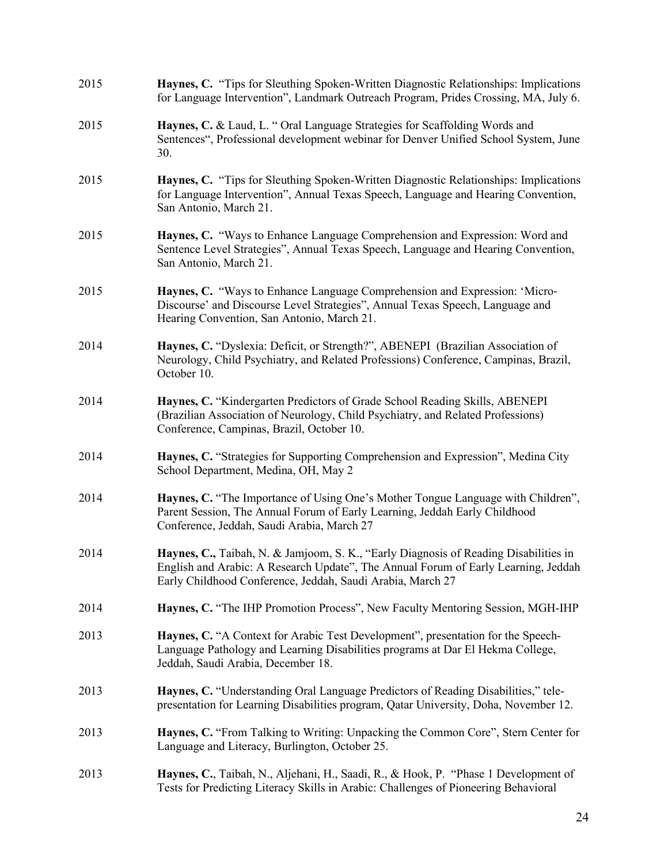| 2015 | Haynes, C. "Tips for Sleuthing Spoken-Written Diagnostic Relationships: Implications<br>for Language Intervention", Landmark Outreach Program, Prides Crossing, MA, July 6.                                                              |
|------|------------------------------------------------------------------------------------------------------------------------------------------------------------------------------------------------------------------------------------------|
| 2015 | Haynes, C. & Laud, L. " Oral Language Strategies for Scaffolding Words and<br>Sentences", Professional development webinar for Denver Unified School System, June<br>30.                                                                 |
| 2015 | Haynes, C. "Tips for Sleuthing Spoken-Written Diagnostic Relationships: Implications<br>for Language Intervention", Annual Texas Speech, Language and Hearing Convention,<br>San Antonio, March 21.                                      |
| 2015 | Haynes, C. "Ways to Enhance Language Comprehension and Expression: Word and<br>Sentence Level Strategies", Annual Texas Speech, Language and Hearing Convention,<br>San Antonio, March 21.                                               |
| 2015 | Haynes, C. "Ways to Enhance Language Comprehension and Expression: 'Micro-<br>Discourse' and Discourse Level Strategies", Annual Texas Speech, Language and<br>Hearing Convention, San Antonio, March 21.                                |
| 2014 | Haynes, C. "Dyslexia: Deficit, or Strength?", ABENEPI (Brazilian Association of<br>Neurology, Child Psychiatry, and Related Professions) Conference, Campinas, Brazil,<br>October 10.                                                    |
| 2014 | Haynes, C. "Kindergarten Predictors of Grade School Reading Skills, ABENEPI<br>(Brazilian Association of Neurology, Child Psychiatry, and Related Professions)<br>Conference, Campinas, Brazil, October 10.                              |
| 2014 | Haynes, C. "Strategies for Supporting Comprehension and Expression", Medina City<br>School Department, Medina, OH, May 2                                                                                                                 |
| 2014 | Haynes, C. "The Importance of Using One's Mother Tongue Language with Children",<br>Parent Session, The Annual Forum of Early Learning, Jeddah Early Childhood<br>Conference, Jeddah, Saudi Arabia, March 27                             |
| 2014 | Haynes, C., Taibah, N. & Jamjoom, S. K., "Early Diagnosis of Reading Disabilities in<br>English and Arabic: A Research Update", The Annual Forum of Early Learning, Jeddah<br>Early Childhood Conference, Jeddah, Saudi Arabia, March 27 |
| 2014 | Haynes, C. "The IHP Promotion Process", New Faculty Mentoring Session, MGH-IHP                                                                                                                                                           |
| 2013 | Haynes, C. "A Context for Arabic Test Development", presentation for the Speech-<br>Language Pathology and Learning Disabilities programs at Dar El Hekma College,<br>Jeddah, Saudi Arabia, December 18.                                 |
| 2013 | Haynes, C. "Understanding Oral Language Predictors of Reading Disabilities," tele-<br>presentation for Learning Disabilities program, Qatar University, Doha, November 12.                                                               |
| 2013 | Haynes, C. "From Talking to Writing: Unpacking the Common Core", Stern Center for<br>Language and Literacy, Burlington, October 25.                                                                                                      |
| 2013 | Haynes, C., Taibah, N., Aljehani, H., Saadi, R., & Hook, P. "Phase 1 Development of<br>Tests for Predicting Literacy Skills in Arabic: Challenges of Pioneering Behavioral                                                               |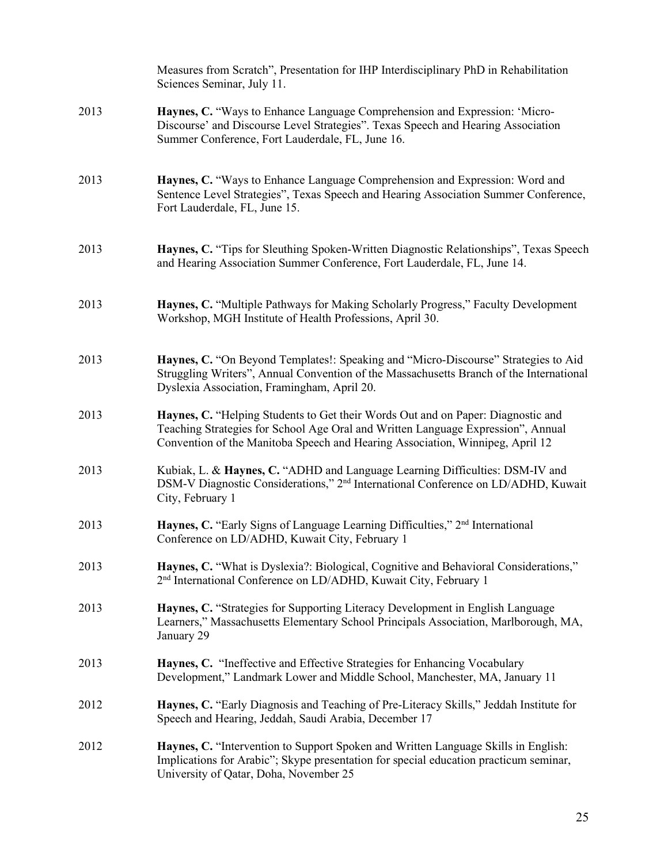|      | Measures from Scratch", Presentation for IHP Interdisciplinary PhD in Rehabilitation<br>Sciences Seminar, July 11.                                                                                                                                    |
|------|-------------------------------------------------------------------------------------------------------------------------------------------------------------------------------------------------------------------------------------------------------|
| 2013 | Haynes, C. "Ways to Enhance Language Comprehension and Expression: 'Micro-<br>Discourse' and Discourse Level Strategies". Texas Speech and Hearing Association<br>Summer Conference, Fort Lauderdale, FL, June 16.                                    |
| 2013 | Haynes, C. "Ways to Enhance Language Comprehension and Expression: Word and<br>Sentence Level Strategies", Texas Speech and Hearing Association Summer Conference,<br>Fort Lauderdale, FL, June 15.                                                   |
| 2013 | Haynes, C. "Tips for Sleuthing Spoken-Written Diagnostic Relationships", Texas Speech<br>and Hearing Association Summer Conference, Fort Lauderdale, FL, June 14.                                                                                     |
| 2013 | Haynes, C. "Multiple Pathways for Making Scholarly Progress," Faculty Development<br>Workshop, MGH Institute of Health Professions, April 30.                                                                                                         |
| 2013 | Haynes, C. "On Beyond Templates!: Speaking and "Micro-Discourse" Strategies to Aid<br>Struggling Writers", Annual Convention of the Massachusetts Branch of the International<br>Dyslexia Association, Framingham, April 20.                          |
| 2013 | Haynes, C. "Helping Students to Get their Words Out and on Paper: Diagnostic and<br>Teaching Strategies for School Age Oral and Written Language Expression", Annual<br>Convention of the Manitoba Speech and Hearing Association, Winnipeg, April 12 |
| 2013 | Kubiak, L. & Haynes, C. "ADHD and Language Learning Difficulties: DSM-IV and<br>DSM-V Diagnostic Considerations," 2 <sup>nd</sup> International Conference on LD/ADHD, Kuwait<br>City, February 1                                                     |
| 2013 | Haynes, C. "Early Signs of Language Learning Difficulties," 2 <sup>nd</sup> International<br>Conference on LD/ADHD, Kuwait City, February 1                                                                                                           |
| 2013 | Haynes, C. "What is Dyslexia?: Biological, Cognitive and Behavioral Considerations,"<br>2 <sup>nd</sup> International Conference on LD/ADHD, Kuwait City, February 1                                                                                  |
| 2013 | Haynes, C. "Strategies for Supporting Literacy Development in English Language<br>Learners," Massachusetts Elementary School Principals Association, Marlborough, MA,<br>January 29                                                                   |
| 2013 | Haynes, C. "Ineffective and Effective Strategies for Enhancing Vocabulary<br>Development," Landmark Lower and Middle School, Manchester, MA, January 11                                                                                               |
| 2012 | Haynes, C. "Early Diagnosis and Teaching of Pre-Literacy Skills," Jeddah Institute for<br>Speech and Hearing, Jeddah, Saudi Arabia, December 17                                                                                                       |
| 2012 | Haynes, C. "Intervention to Support Spoken and Written Language Skills in English:<br>Implications for Arabic"; Skype presentation for special education practicum seminar,<br>University of Qatar, Doha, November 25                                 |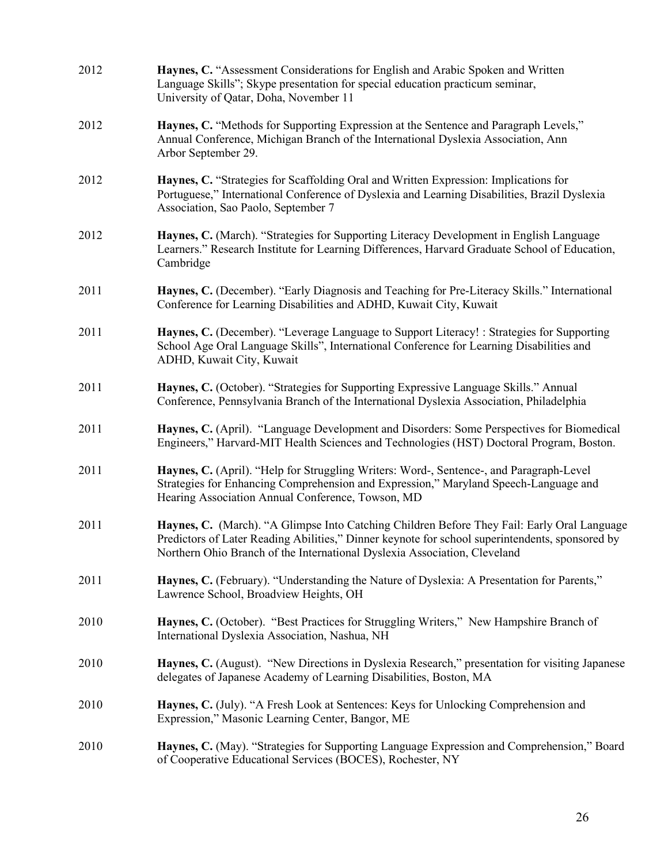| 2012 | Haynes, C. "Assessment Considerations for English and Arabic Spoken and Written<br>Language Skills"; Skype presentation for special education practicum seminar,<br>University of Qatar, Doha, November 11                                                                  |
|------|-----------------------------------------------------------------------------------------------------------------------------------------------------------------------------------------------------------------------------------------------------------------------------|
| 2012 | Haynes, C. "Methods for Supporting Expression at the Sentence and Paragraph Levels,"<br>Annual Conference, Michigan Branch of the International Dyslexia Association, Ann<br>Arbor September 29.                                                                            |
| 2012 | Haynes, C. "Strategies for Scaffolding Oral and Written Expression: Implications for<br>Portuguese," International Conference of Dyslexia and Learning Disabilities, Brazil Dyslexia<br>Association, Sao Paolo, September 7                                                 |
| 2012 | Haynes, C. (March). "Strategies for Supporting Literacy Development in English Language<br>Learners." Research Institute for Learning Differences, Harvard Graduate School of Education,<br>Cambridge                                                                       |
| 2011 | Haynes, C. (December). "Early Diagnosis and Teaching for Pre-Literacy Skills." International<br>Conference for Learning Disabilities and ADHD, Kuwait City, Kuwait                                                                                                          |
| 2011 | Haynes, C. (December). "Leverage Language to Support Literacy! : Strategies for Supporting<br>School Age Oral Language Skills", International Conference for Learning Disabilities and<br>ADHD, Kuwait City, Kuwait                                                         |
| 2011 | Haynes, C. (October). "Strategies for Supporting Expressive Language Skills." Annual<br>Conference, Pennsylvania Branch of the International Dyslexia Association, Philadelphia                                                                                             |
| 2011 | Haynes, C. (April). "Language Development and Disorders: Some Perspectives for Biomedical<br>Engineers," Harvard-MIT Health Sciences and Technologies (HST) Doctoral Program, Boston.                                                                                       |
| 2011 | Haynes, C. (April). "Help for Struggling Writers: Word-, Sentence-, and Paragraph-Level<br>Strategies for Enhancing Comprehension and Expression," Maryland Speech-Language and<br>Hearing Association Annual Conference, Towson, MD                                        |
| 2011 | Haynes, C. (March). "A Glimpse Into Catching Children Before They Fail: Early Oral Language<br>Predictors of Later Reading Abilities," Dinner keynote for school superintendents, sponsored by<br>Northern Ohio Branch of the International Dyslexia Association, Cleveland |
| 2011 | Haynes, C. (February). "Understanding the Nature of Dyslexia: A Presentation for Parents,"<br>Lawrence School, Broadview Heights, OH                                                                                                                                        |
| 2010 | Haynes, C. (October). "Best Practices for Struggling Writers," New Hampshire Branch of<br>International Dyslexia Association, Nashua, NH                                                                                                                                    |
| 2010 | Haynes, C. (August). "New Directions in Dyslexia Research," presentation for visiting Japanese<br>delegates of Japanese Academy of Learning Disabilities, Boston, MA                                                                                                        |
| 2010 | Haynes, C. (July). "A Fresh Look at Sentences: Keys for Unlocking Comprehension and<br>Expression," Masonic Learning Center, Bangor, ME                                                                                                                                     |
| 2010 | Haynes, C. (May). "Strategies for Supporting Language Expression and Comprehension," Board<br>of Cooperative Educational Services (BOCES), Rochester, NY                                                                                                                    |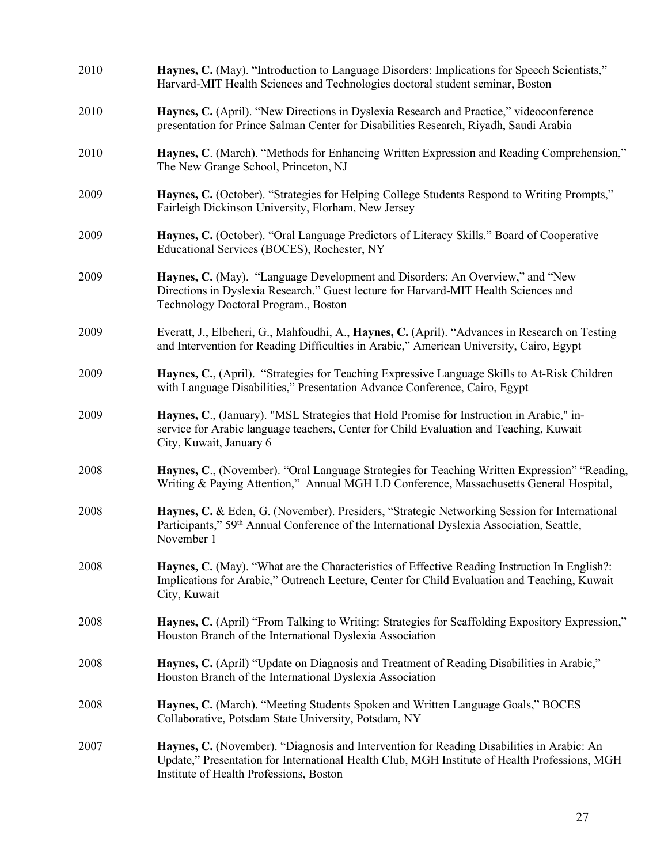| 2010 | Haynes, C. (May). "Introduction to Language Disorders: Implications for Speech Scientists,"<br>Harvard-MIT Health Sciences and Technologies doctoral student seminar, Boston                                                          |
|------|---------------------------------------------------------------------------------------------------------------------------------------------------------------------------------------------------------------------------------------|
| 2010 | Haynes, C. (April). "New Directions in Dyslexia Research and Practice," videoconference<br>presentation for Prince Salman Center for Disabilities Research, Riyadh, Saudi Arabia                                                      |
| 2010 | Haynes, C. (March). "Methods for Enhancing Written Expression and Reading Comprehension,"<br>The New Grange School, Princeton, NJ                                                                                                     |
| 2009 | Haynes, C. (October). "Strategies for Helping College Students Respond to Writing Prompts,"<br>Fairleigh Dickinson University, Florham, New Jersey                                                                                    |
| 2009 | Haynes, C. (October). "Oral Language Predictors of Literacy Skills." Board of Cooperative<br>Educational Services (BOCES), Rochester, NY                                                                                              |
| 2009 | Haynes, C. (May). "Language Development and Disorders: An Overview," and "New<br>Directions in Dyslexia Research." Guest lecture for Harvard-MIT Health Sciences and<br>Technology Doctoral Program., Boston                          |
| 2009 | Everatt, J., Elbeheri, G., Mahfoudhi, A., Haynes, C. (April). "Advances in Research on Testing<br>and Intervention for Reading Difficulties in Arabic," American University, Cairo, Egypt                                             |
| 2009 | Haynes, C., (April). "Strategies for Teaching Expressive Language Skills to At-Risk Children<br>with Language Disabilities," Presentation Advance Conference, Cairo, Egypt                                                            |
| 2009 | Haynes, C., (January). "MSL Strategies that Hold Promise for Instruction in Arabic," in-<br>service for Arabic language teachers, Center for Child Evaluation and Teaching, Kuwait<br>City, Kuwait, January 6                         |
| 2008 | Haynes, C., (November). "Oral Language Strategies for Teaching Written Expression" "Reading,<br>Writing & Paying Attention," Annual MGH LD Conference, Massachusetts General Hospital,                                                |
| 2008 | Haynes, C. & Eden, G. (November). Presiders, "Strategic Networking Session for International<br>Participants," 59 <sup>th</sup> Annual Conference of the International Dyslexia Association, Seattle,<br>November 1                   |
| 2008 | Haynes, C. (May). "What are the Characteristics of Effective Reading Instruction In English?:<br>Implications for Arabic," Outreach Lecture, Center for Child Evaluation and Teaching, Kuwait<br>City, Kuwait                         |
| 2008 | Haynes, C. (April) "From Talking to Writing: Strategies for Scaffolding Expository Expression,"<br>Houston Branch of the International Dyslexia Association                                                                           |
| 2008 | Haynes, C. (April) "Update on Diagnosis and Treatment of Reading Disabilities in Arabic,"<br>Houston Branch of the International Dyslexia Association                                                                                 |
| 2008 | Haynes, C. (March). "Meeting Students Spoken and Written Language Goals," BOCES<br>Collaborative, Potsdam State University, Potsdam, NY                                                                                               |
| 2007 | Haynes, C. (November). "Diagnosis and Intervention for Reading Disabilities in Arabic: An<br>Update," Presentation for International Health Club, MGH Institute of Health Professions, MGH<br>Institute of Health Professions, Boston |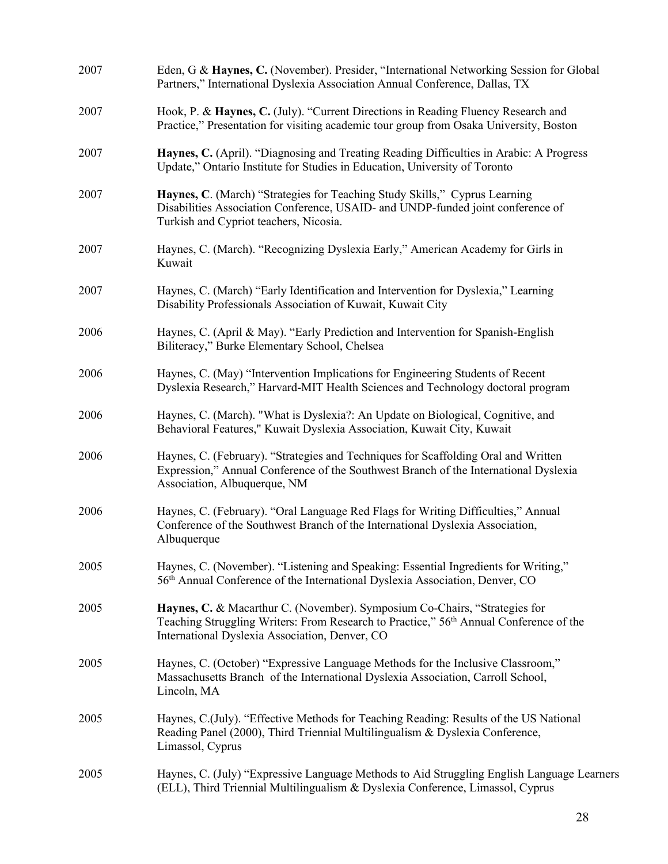| 2007 | Eden, G & Haynes, C. (November). Presider, "International Networking Session for Global<br>Partners," International Dyslexia Association Annual Conference, Dallas, TX                                                             |
|------|------------------------------------------------------------------------------------------------------------------------------------------------------------------------------------------------------------------------------------|
| 2007 | Hook, P. & Haynes, C. (July). "Current Directions in Reading Fluency Research and<br>Practice," Presentation for visiting academic tour group from Osaka University, Boston                                                        |
| 2007 | Haynes, C. (April). "Diagnosing and Treating Reading Difficulties in Arabic: A Progress<br>Update," Ontario Institute for Studies in Education, University of Toronto                                                              |
| 2007 | Haynes, C. (March) "Strategies for Teaching Study Skills," Cyprus Learning<br>Disabilities Association Conference, USAID- and UNDP-funded joint conference of<br>Turkish and Cypriot teachers, Nicosia.                            |
| 2007 | Haynes, C. (March). "Recognizing Dyslexia Early," American Academy for Girls in<br>Kuwait                                                                                                                                          |
| 2007 | Haynes, C. (March) "Early Identification and Intervention for Dyslexia," Learning<br>Disability Professionals Association of Kuwait, Kuwait City                                                                                   |
| 2006 | Haynes, C. (April & May). "Early Prediction and Intervention for Spanish-English<br>Biliteracy," Burke Elementary School, Chelsea                                                                                                  |
| 2006 | Haynes, C. (May) "Intervention Implications for Engineering Students of Recent<br>Dyslexia Research," Harvard-MIT Health Sciences and Technology doctoral program                                                                  |
| 2006 | Haynes, C. (March). "What is Dyslexia?: An Update on Biological, Cognitive, and<br>Behavioral Features," Kuwait Dyslexia Association, Kuwait City, Kuwait                                                                          |
| 2006 | Haynes, C. (February). "Strategies and Techniques for Scaffolding Oral and Written<br>Expression," Annual Conference of the Southwest Branch of the International Dyslexia<br>Association, Albuquerque, NM                         |
| 2006 | Haynes, C. (February). "Oral Language Red Flags for Writing Difficulties," Annual<br>Conference of the Southwest Branch of the International Dyslexia Association,<br>Albuquerque                                                  |
| 2005 | Haynes, C. (November). "Listening and Speaking: Essential Ingredients for Writing,"<br>56 <sup>th</sup> Annual Conference of the International Dyslexia Association, Denver, CO                                                    |
| 2005 | Haynes, C. & Macarthur C. (November). Symposium Co-Chairs, "Strategies for<br>Teaching Struggling Writers: From Research to Practice," 56 <sup>th</sup> Annual Conference of the<br>International Dyslexia Association, Denver, CO |
| 2005 | Haynes, C. (October) "Expressive Language Methods for the Inclusive Classroom,"<br>Massachusetts Branch of the International Dyslexia Association, Carroll School,<br>Lincoln, MA                                                  |
| 2005 | Haynes, C.(July). "Effective Methods for Teaching Reading: Results of the US National<br>Reading Panel (2000), Third Triennial Multilingualism & Dyslexia Conference,<br>Limassol, Cyprus                                          |
| 2005 | Haynes, C. (July) "Expressive Language Methods to Aid Struggling English Language Learners<br>(ELL), Third Triennial Multilingualism & Dyslexia Conference, Limassol, Cyprus                                                       |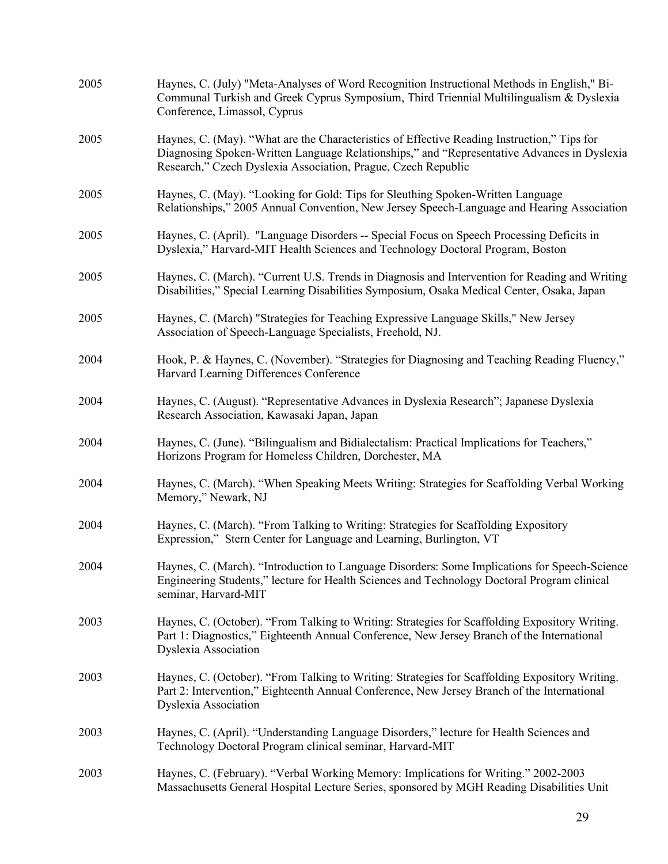| 2005 | Haynes, C. (July) "Meta-Analyses of Word Recognition Instructional Methods in English," Bi-<br>Communal Turkish and Greek Cyprus Symposium, Third Triennial Multilingualism & Dyslexia<br>Conference, Limassol, Cyprus                                      |
|------|-------------------------------------------------------------------------------------------------------------------------------------------------------------------------------------------------------------------------------------------------------------|
| 2005 | Haynes, C. (May). "What are the Characteristics of Effective Reading Instruction," Tips for<br>Diagnosing Spoken-Written Language Relationships," and "Representative Advances in Dyslexia<br>Research," Czech Dyslexia Association, Prague, Czech Republic |
| 2005 | Haynes, C. (May). "Looking for Gold: Tips for Sleuthing Spoken-Written Language<br>Relationships," 2005 Annual Convention, New Jersey Speech-Language and Hearing Association                                                                               |
| 2005 | Haynes, C. (April). "Language Disorders -- Special Focus on Speech Processing Deficits in<br>Dyslexia," Harvard-MIT Health Sciences and Technology Doctoral Program, Boston                                                                                 |
| 2005 | Haynes, C. (March). "Current U.S. Trends in Diagnosis and Intervention for Reading and Writing<br>Disabilities," Special Learning Disabilities Symposium, Osaka Medical Center, Osaka, Japan                                                                |
| 2005 | Haynes, C. (March) "Strategies for Teaching Expressive Language Skills," New Jersey<br>Association of Speech-Language Specialists, Freehold, NJ.                                                                                                            |
| 2004 | Hook, P. & Haynes, C. (November). "Strategies for Diagnosing and Teaching Reading Fluency,"<br>Harvard Learning Differences Conference                                                                                                                      |
| 2004 | Haynes, C. (August). "Representative Advances in Dyslexia Research"; Japanese Dyslexia<br>Research Association, Kawasaki Japan, Japan                                                                                                                       |
| 2004 | Haynes, C. (June). "Bilingualism and Bidialectalism: Practical Implications for Teachers,"<br>Horizons Program for Homeless Children, Dorchester, MA                                                                                                        |
| 2004 | Haynes, C. (March). "When Speaking Meets Writing: Strategies for Scaffolding Verbal Working<br>Memory," Newark, NJ                                                                                                                                          |
| 2004 | Haynes, C. (March). "From Talking to Writing: Strategies for Scaffolding Expository<br>Expression," Stern Center for Language and Learning, Burlington, VT                                                                                                  |
| 2004 | Haynes, C. (March). "Introduction to Language Disorders: Some Implications for Speech-Science<br>Engineering Students," lecture for Health Sciences and Technology Doctoral Program clinical<br>seminar, Harvard-MIT                                        |
| 2003 | Haynes, C. (October). "From Talking to Writing: Strategies for Scaffolding Expository Writing.<br>Part 1: Diagnostics," Eighteenth Annual Conference, New Jersey Branch of the International<br><b>Dyslexia Association</b>                                 |
| 2003 | Haynes, C. (October). "From Talking to Writing: Strategies for Scaffolding Expository Writing.<br>Part 2: Intervention," Eighteenth Annual Conference, New Jersey Branch of the International<br><b>Dyslexia Association</b>                                |
| 2003 | Haynes, C. (April). "Understanding Language Disorders," lecture for Health Sciences and<br>Technology Doctoral Program clinical seminar, Harvard-MIT                                                                                                        |
| 2003 | Haynes, C. (February). "Verbal Working Memory: Implications for Writing." 2002-2003<br>Massachusetts General Hospital Lecture Series, sponsored by MGH Reading Disabilities Unit                                                                            |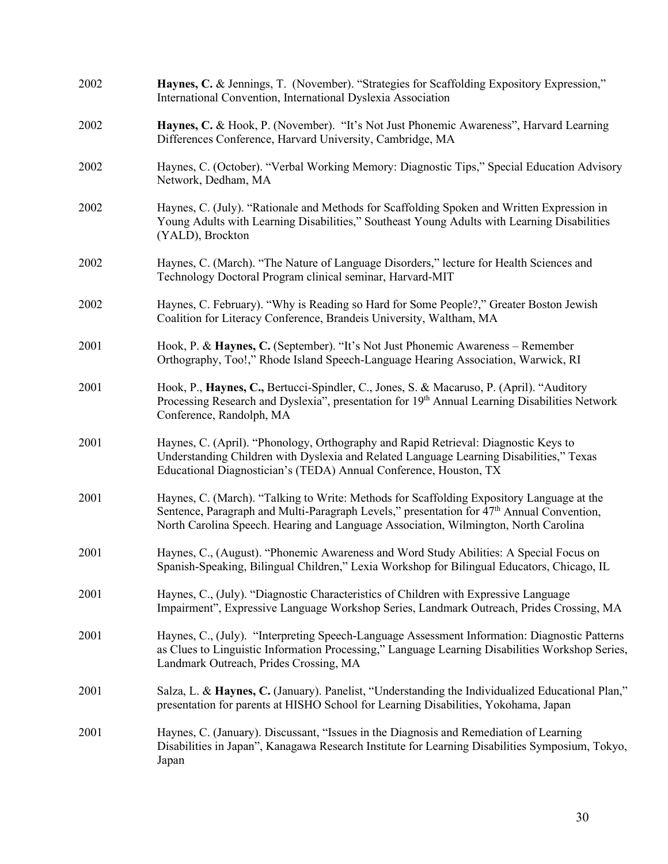| 2002 | Haynes, C. & Jennings, T. (November). "Strategies for Scaffolding Expository Expression,"<br>International Convention, International Dyslexia Association                                                                                                                       |
|------|---------------------------------------------------------------------------------------------------------------------------------------------------------------------------------------------------------------------------------------------------------------------------------|
| 2002 | Haynes, C. & Hook, P. (November). "It's Not Just Phonemic Awareness", Harvard Learning<br>Differences Conference, Harvard University, Cambridge, MA                                                                                                                             |
| 2002 | Haynes, C. (October). "Verbal Working Memory: Diagnostic Tips," Special Education Advisory<br>Network, Dedham, MA                                                                                                                                                               |
| 2002 | Haynes, C. (July). "Rationale and Methods for Scaffolding Spoken and Written Expression in<br>Young Adults with Learning Disabilities," Southeast Young Adults with Learning Disabilities<br>(YALD), Brockton                                                                   |
| 2002 | Haynes, C. (March). "The Nature of Language Disorders," lecture for Health Sciences and<br>Technology Doctoral Program clinical seminar, Harvard-MIT                                                                                                                            |
| 2002 | Haynes, C. February). "Why is Reading so Hard for Some People?," Greater Boston Jewish<br>Coalition for Literacy Conference, Brandeis University, Waltham, MA                                                                                                                   |
| 2001 | Hook, P. & Haynes, C. (September). "It's Not Just Phonemic Awareness – Remember<br>Orthography, Too!," Rhode Island Speech-Language Hearing Association, Warwick, RI                                                                                                            |
| 2001 | Hook, P., Haynes, C., Bertucci-Spindler, C., Jones, S. & Macaruso, P. (April). "Auditory<br>Processing Research and Dyslexia", presentation for 19th Annual Learning Disabilities Network<br>Conference, Randolph, MA                                                           |
| 2001 | Haynes, C. (April). "Phonology, Orthography and Rapid Retrieval: Diagnostic Keys to<br>Understanding Children with Dyslexia and Related Language Learning Disabilities," Texas<br>Educational Diagnostician's (TEDA) Annual Conference, Houston, TX                             |
| 2001 | Haynes, C. (March). "Talking to Write: Methods for Scaffolding Expository Language at the<br>Sentence, Paragraph and Multi-Paragraph Levels," presentation for $47th$ Annual Convention,<br>North Carolina Speech. Hearing and Language Association, Wilmington, North Carolina |
| 2001 | Haynes, C., (August). "Phonemic Awareness and Word Study Abilities: A Special Focus on<br>Spanish-Speaking, Bilingual Children," Lexia Workshop for Bilingual Educators, Chicago, IL                                                                                            |
| 2001 | Haynes, C., (July). "Diagnostic Characteristics of Children with Expressive Language<br>Impairment", Expressive Language Workshop Series, Landmark Outreach, Prides Crossing, MA                                                                                                |
| 2001 | Haynes, C., (July). "Interpreting Speech-Language Assessment Information: Diagnostic Patterns<br>as Clues to Linguistic Information Processing," Language Learning Disabilities Workshop Series,<br>Landmark Outreach, Prides Crossing, MA                                      |
| 2001 | Salza, L. & Haynes, C. (January). Panelist, "Understanding the Individualized Educational Plan,"<br>presentation for parents at HISHO School for Learning Disabilities, Yokohama, Japan                                                                                         |
| 2001 | Haynes, C. (January). Discussant, "Issues in the Diagnosis and Remediation of Learning<br>Disabilities in Japan", Kanagawa Research Institute for Learning Disabilities Symposium, Tokyo,<br>Japan                                                                              |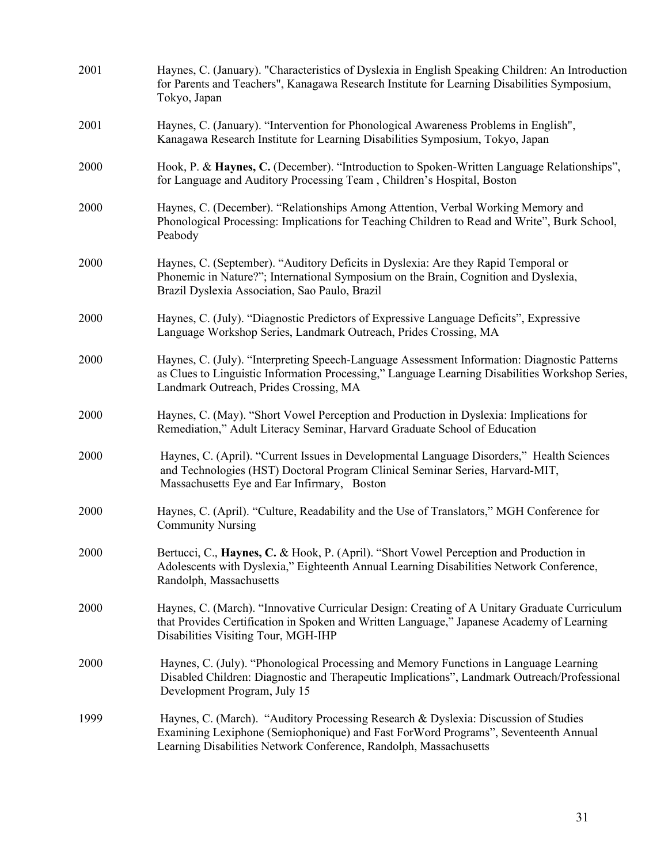| 2001 | Haynes, C. (January). "Characteristics of Dyslexia in English Speaking Children: An Introduction<br>for Parents and Teachers", Kanagawa Research Institute for Learning Disabilities Symposium,<br>Tokyo, Japan                                |
|------|------------------------------------------------------------------------------------------------------------------------------------------------------------------------------------------------------------------------------------------------|
| 2001 | Haynes, C. (January). "Intervention for Phonological Awareness Problems in English",<br>Kanagawa Research Institute for Learning Disabilities Symposium, Tokyo, Japan                                                                          |
| 2000 | Hook, P. & Haynes, C. (December). "Introduction to Spoken-Written Language Relationships",<br>for Language and Auditory Processing Team, Children's Hospital, Boston                                                                           |
| 2000 | Haynes, C. (December). "Relationships Among Attention, Verbal Working Memory and<br>Phonological Processing: Implications for Teaching Children to Read and Write", Burk School,<br>Peabody                                                    |
| 2000 | Haynes, C. (September). "Auditory Deficits in Dyslexia: Are they Rapid Temporal or<br>Phonemic in Nature?"; International Symposium on the Brain, Cognition and Dyslexia,<br>Brazil Dyslexia Association, Sao Paulo, Brazil                    |
| 2000 | Haynes, C. (July). "Diagnostic Predictors of Expressive Language Deficits", Expressive<br>Language Workshop Series, Landmark Outreach, Prides Crossing, MA                                                                                     |
| 2000 | Haynes, C. (July). "Interpreting Speech-Language Assessment Information: Diagnostic Patterns<br>as Clues to Linguistic Information Processing," Language Learning Disabilities Workshop Series,<br>Landmark Outreach, Prides Crossing, MA      |
| 2000 | Haynes, C. (May). "Short Vowel Perception and Production in Dyslexia: Implications for<br>Remediation," Adult Literacy Seminar, Harvard Graduate School of Education                                                                           |
| 2000 | Haynes, C. (April). "Current Issues in Developmental Language Disorders," Health Sciences<br>and Technologies (HST) Doctoral Program Clinical Seminar Series, Harvard-MIT,<br>Massachusetts Eye and Ear Infirmary, Boston                      |
| 2000 | Haynes, C. (April). "Culture, Readability and the Use of Translators," MGH Conference for<br><b>Community Nursing</b>                                                                                                                          |
| 2000 | Bertucci, C., Haynes, C. & Hook, P. (April). "Short Vowel Perception and Production in<br>Adolescents with Dyslexia," Eighteenth Annual Learning Disabilities Network Conference,<br>Randolph, Massachusetts                                   |
| 2000 | Haynes, C. (March). "Innovative Curricular Design: Creating of A Unitary Graduate Curriculum<br>that Provides Certification in Spoken and Written Language," Japanese Academy of Learning<br>Disabilities Visiting Tour, MGH-IHP               |
| 2000 | Haynes, C. (July). "Phonological Processing and Memory Functions in Language Learning<br>Disabled Children: Diagnostic and Therapeutic Implications", Landmark Outreach/Professional<br>Development Program, July 15                           |
| 1999 | Haynes, C. (March). "Auditory Processing Research & Dyslexia: Discussion of Studies<br>Examining Lexiphone (Semiophonique) and Fast ForWord Programs", Seventeenth Annual<br>Learning Disabilities Network Conference, Randolph, Massachusetts |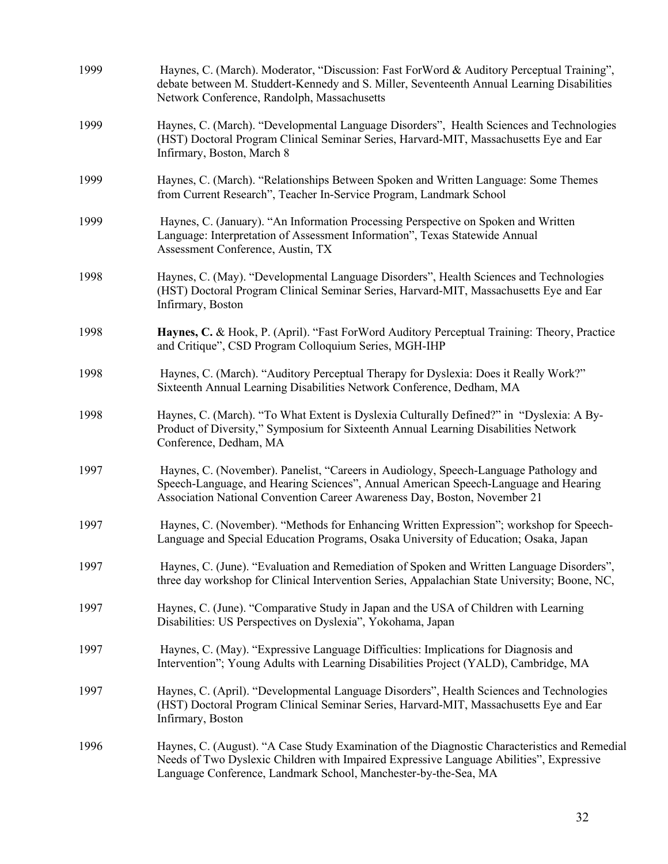| 1999 | Haynes, C. (March). Moderator, "Discussion: Fast ForWord & Auditory Perceptual Training",<br>debate between M. Studdert-Kennedy and S. Miller, Seventeenth Annual Learning Disabilities<br>Network Conference, Randolph, Massachusetts                      |
|------|-------------------------------------------------------------------------------------------------------------------------------------------------------------------------------------------------------------------------------------------------------------|
| 1999 | Haynes, C. (March). "Developmental Language Disorders", Health Sciences and Technologies<br>(HST) Doctoral Program Clinical Seminar Series, Harvard-MIT, Massachusetts Eye and Ear<br>Infirmary, Boston, March 8                                            |
| 1999 | Haynes, C. (March). "Relationships Between Spoken and Written Language: Some Themes<br>from Current Research", Teacher In-Service Program, Landmark School                                                                                                  |
| 1999 | Haynes, C. (January). "An Information Processing Perspective on Spoken and Written<br>Language: Interpretation of Assessment Information", Texas Statewide Annual<br>Assessment Conference, Austin, TX                                                      |
| 1998 | Haynes, C. (May). "Developmental Language Disorders", Health Sciences and Technologies<br>(HST) Doctoral Program Clinical Seminar Series, Harvard-MIT, Massachusetts Eye and Ear<br>Infirmary, Boston                                                       |
| 1998 | Haynes, C. & Hook, P. (April). "Fast ForWord Auditory Perceptual Training: Theory, Practice<br>and Critique", CSD Program Colloquium Series, MGH-IHP                                                                                                        |
| 1998 | Haynes, C. (March). "Auditory Perceptual Therapy for Dyslexia: Does it Really Work?"<br>Sixteenth Annual Learning Disabilities Network Conference, Dedham, MA                                                                                               |
| 1998 | Haynes, C. (March). "To What Extent is Dyslexia Culturally Defined?" in "Dyslexia: A By-<br>Product of Diversity," Symposium for Sixteenth Annual Learning Disabilities Network<br>Conference, Dedham, MA                                                   |
| 1997 | Haynes, C. (November). Panelist, "Careers in Audiology, Speech-Language Pathology and<br>Speech-Language, and Hearing Sciences", Annual American Speech-Language and Hearing<br>Association National Convention Career Awareness Day, Boston, November 21   |
| 1997 | Haynes, C. (November). "Methods for Enhancing Written Expression"; workshop for Speech-<br>Language and Special Education Programs, Osaka University of Education; Osaka, Japan                                                                             |
| 1997 | Haynes, C. (June). "Evaluation and Remediation of Spoken and Written Language Disorders",<br>three day workshop for Clinical Intervention Series, Appalachian State University; Boone, NC,                                                                  |
| 1997 | Haynes, C. (June). "Comparative Study in Japan and the USA of Children with Learning<br>Disabilities: US Perspectives on Dyslexia", Yokohama, Japan                                                                                                         |
| 1997 | Haynes, C. (May). "Expressive Language Difficulties: Implications for Diagnosis and<br>Intervention"; Young Adults with Learning Disabilities Project (YALD), Cambridge, MA                                                                                 |
| 1997 | Haynes, C. (April). "Developmental Language Disorders", Health Sciences and Technologies<br>(HST) Doctoral Program Clinical Seminar Series, Harvard-MIT, Massachusetts Eye and Ear<br>Infirmary, Boston                                                     |
| 1996 | Haynes, C. (August). "A Case Study Examination of the Diagnostic Characteristics and Remedial<br>Needs of Two Dyslexic Children with Impaired Expressive Language Abilities", Expressive<br>Language Conference, Landmark School, Manchester-by-the-Sea, MA |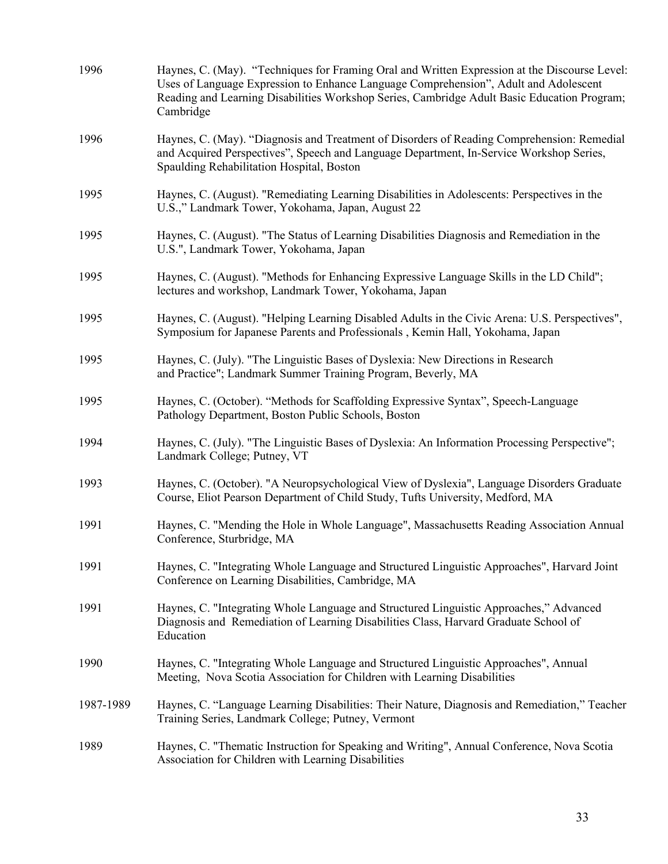| 1996      | Haynes, C. (May). "Techniques for Framing Oral and Written Expression at the Discourse Level:<br>Uses of Language Expression to Enhance Language Comprehension", Adult and Adolescent<br>Reading and Learning Disabilities Workshop Series, Cambridge Adult Basic Education Program;<br>Cambridge |
|-----------|---------------------------------------------------------------------------------------------------------------------------------------------------------------------------------------------------------------------------------------------------------------------------------------------------|
| 1996      | Haynes, C. (May). "Diagnosis and Treatment of Disorders of Reading Comprehension: Remedial<br>and Acquired Perspectives", Speech and Language Department, In-Service Workshop Series,<br>Spaulding Rehabilitation Hospital, Boston                                                                |
| 1995      | Haynes, C. (August). "Remediating Learning Disabilities in Adolescents: Perspectives in the<br>U.S.," Landmark Tower, Yokohama, Japan, August 22                                                                                                                                                  |
| 1995      | Haynes, C. (August). "The Status of Learning Disabilities Diagnosis and Remediation in the<br>U.S.", Landmark Tower, Yokohama, Japan                                                                                                                                                              |
| 1995      | Haynes, C. (August). "Methods for Enhancing Expressive Language Skills in the LD Child";<br>lectures and workshop, Landmark Tower, Yokohama, Japan                                                                                                                                                |
| 1995      | Haynes, C. (August). "Helping Learning Disabled Adults in the Civic Arena: U.S. Perspectives",<br>Symposium for Japanese Parents and Professionals, Kemin Hall, Yokohama, Japan                                                                                                                   |
| 1995      | Haynes, C. (July). "The Linguistic Bases of Dyslexia: New Directions in Research<br>and Practice"; Landmark Summer Training Program, Beverly, MA                                                                                                                                                  |
| 1995      | Haynes, C. (October). "Methods for Scaffolding Expressive Syntax", Speech-Language<br>Pathology Department, Boston Public Schools, Boston                                                                                                                                                         |
| 1994      | Haynes, C. (July). "The Linguistic Bases of Dyslexia: An Information Processing Perspective";<br>Landmark College; Putney, VT                                                                                                                                                                     |
| 1993      | Haynes, C. (October). "A Neuropsychological View of Dyslexia", Language Disorders Graduate<br>Course, Eliot Pearson Department of Child Study, Tufts University, Medford, MA                                                                                                                      |
| 1991      | Haynes, C. "Mending the Hole in Whole Language", Massachusetts Reading Association Annual<br>Conference, Sturbridge, MA                                                                                                                                                                           |
| 1991      | Haynes, C. "Integrating Whole Language and Structured Linguistic Approaches", Harvard Joint<br>Conference on Learning Disabilities, Cambridge, MA                                                                                                                                                 |
| 1991      | Haynes, C. "Integrating Whole Language and Structured Linguistic Approaches," Advanced<br>Diagnosis and Remediation of Learning Disabilities Class, Harvard Graduate School of<br>Education                                                                                                       |
| 1990      | Haynes, C. "Integrating Whole Language and Structured Linguistic Approaches", Annual<br>Meeting, Nova Scotia Association for Children with Learning Disabilities                                                                                                                                  |
| 1987-1989 | Haynes, C. "Language Learning Disabilities: Their Nature, Diagnosis and Remediation," Teacher<br>Training Series, Landmark College; Putney, Vermont                                                                                                                                               |
| 1989      | Haynes, C. "Thematic Instruction for Speaking and Writing", Annual Conference, Nova Scotia<br>Association for Children with Learning Disabilities                                                                                                                                                 |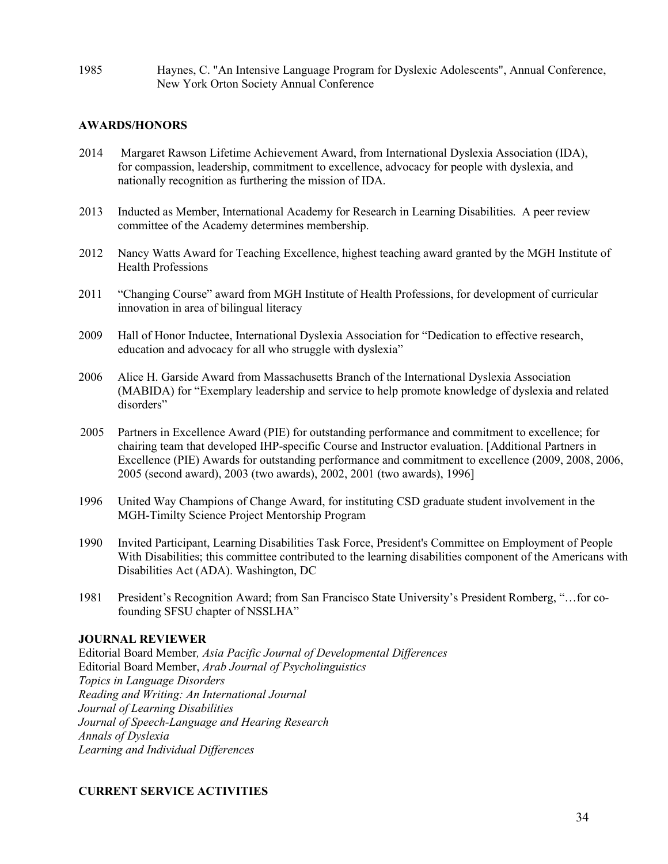1985 Haynes, C. "An Intensive Language Program for Dyslexic Adolescents", Annual Conference, New York Orton Society Annual Conference

### **AWARDS/HONORS**

- 2014 Margaret Rawson Lifetime Achievement Award, from International Dyslexia Association (IDA), for compassion, leadership, commitment to excellence, advocacy for people with dyslexia, and nationally recognition as furthering the mission of IDA.
- 2013 Inducted as Member, International Academy for Research in Learning Disabilities. A peer review committee of the Academy determines membership.
- 2012 Nancy Watts Award for Teaching Excellence, highest teaching award granted by the MGH Institute of Health Professions
- 2011 "Changing Course" award from MGH Institute of Health Professions, for development of curricular innovation in area of bilingual literacy
- 2009 Hall of Honor Inductee, International Dyslexia Association for "Dedication to effective research, education and advocacy for all who struggle with dyslexia"
- 2006 Alice H. Garside Award from Massachusetts Branch of the International Dyslexia Association (MABIDA) for "Exemplary leadership and service to help promote knowledge of dyslexia and related disorders"
- 2005 Partners in Excellence Award (PIE) for outstanding performance and commitment to excellence; for chairing team that developed IHP-specific Course and Instructor evaluation. [Additional Partners in Excellence (PIE) Awards for outstanding performance and commitment to excellence (2009, 2008, 2006, 2005 (second award), 2003 (two awards), 2002, 2001 (two awards), 1996]
- 1996 United Way Champions of Change Award, for instituting CSD graduate student involvement in the MGH-Timilty Science Project Mentorship Program
- 1990 Invited Participant, Learning Disabilities Task Force, President's Committee on Employment of People With Disabilities; this committee contributed to the learning disabilities component of the Americans with Disabilities Act (ADA). Washington, DC
- 1981 President's Recognition Award; from San Francisco State University's President Romberg, "…for cofounding SFSU chapter of NSSLHA"

#### **JOURNAL REVIEWER**

Editorial Board Member*, Asia Pacific Journal of Developmental Differences* Editorial Board Member, *Arab Journal of Psycholinguistics Topics in Language Disorders Reading and Writing: An International Journal Journal of Learning Disabilities Journal of Speech-Language and Hearing Research Annals of Dyslexia Learning and Individual Differences*

#### **CURRENT SERVICE ACTIVITIES**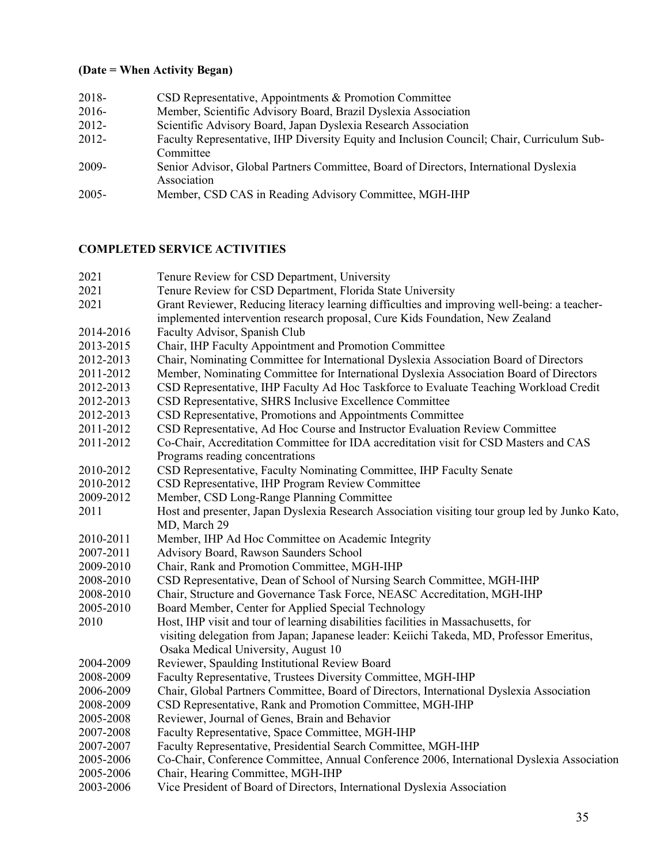# **(Date = When Activity Began)**

| 2018-    | CSD Representative, Appointments & Promotion Committee                                               |
|----------|------------------------------------------------------------------------------------------------------|
| 2016-    | Member, Scientific Advisory Board, Brazil Dyslexia Association                                       |
| 2012-    | Scientific Advisory Board, Japan Dyslexia Research Association                                       |
| 2012-    | Faculty Representative, IHP Diversity Equity and Inclusion Council; Chair, Curriculum Sub-           |
|          | Committee                                                                                            |
| 2009-    | Senior Advisor, Global Partners Committee, Board of Directors, International Dyslexia<br>Association |
| $2005 -$ | Member, CSD CAS in Reading Advisory Committee, MGH-IHP                                               |

## **COMPLETED SERVICE ACTIVITIES**

| 2021      | Tenure Review for CSD Department, University                                                   |
|-----------|------------------------------------------------------------------------------------------------|
| 2021      | Tenure Review for CSD Department, Florida State University                                     |
| 2021      | Grant Reviewer, Reducing literacy learning difficulties and improving well-being: a teacher-   |
|           | implemented intervention research proposal, Cure Kids Foundation, New Zealand                  |
| 2014-2016 | Faculty Advisor, Spanish Club                                                                  |
| 2013-2015 | Chair, IHP Faculty Appointment and Promotion Committee                                         |
| 2012-2013 | Chair, Nominating Committee for International Dyslexia Association Board of Directors          |
| 2011-2012 | Member, Nominating Committee for International Dyslexia Association Board of Directors         |
| 2012-2013 | CSD Representative, IHP Faculty Ad Hoc Taskforce to Evaluate Teaching Workload Credit          |
| 2012-2013 | CSD Representative, SHRS Inclusive Excellence Committee                                        |
| 2012-2013 | CSD Representative, Promotions and Appointments Committee                                      |
| 2011-2012 | CSD Representative, Ad Hoc Course and Instructor Evaluation Review Committee                   |
| 2011-2012 | Co-Chair, Accreditation Committee for IDA accreditation visit for CSD Masters and CAS          |
|           | Programs reading concentrations                                                                |
| 2010-2012 | CSD Representative, Faculty Nominating Committee, IHP Faculty Senate                           |
| 2010-2012 | CSD Representative, IHP Program Review Committee                                               |
| 2009-2012 | Member, CSD Long-Range Planning Committee                                                      |
| 2011      | Host and presenter, Japan Dyslexia Research Association visiting tour group led by Junko Kato, |
|           | MD, March 29                                                                                   |
| 2010-2011 | Member, IHP Ad Hoc Committee on Academic Integrity                                             |
| 2007-2011 | Advisory Board, Rawson Saunders School                                                         |
| 2009-2010 | Chair, Rank and Promotion Committee, MGH-IHP                                                   |
| 2008-2010 | CSD Representative, Dean of School of Nursing Search Committee, MGH-IHP                        |
| 2008-2010 | Chair, Structure and Governance Task Force, NEASC Accreditation, MGH-IHP                       |
| 2005-2010 | Board Member, Center for Applied Special Technology                                            |
| 2010      | Host, IHP visit and tour of learning disabilities facilities in Massachusetts, for             |
|           | visiting delegation from Japan; Japanese leader: Keiichi Takeda, MD, Professor Emeritus,       |
|           | Osaka Medical University, August 10                                                            |
| 2004-2009 | Reviewer, Spaulding Institutional Review Board                                                 |
| 2008-2009 | Faculty Representative, Trustees Diversity Committee, MGH-IHP                                  |
| 2006-2009 | Chair, Global Partners Committee, Board of Directors, International Dyslexia Association       |
| 2008-2009 | CSD Representative, Rank and Promotion Committee, MGH-IHP                                      |
| 2005-2008 | Reviewer, Journal of Genes, Brain and Behavior                                                 |
| 2007-2008 | Faculty Representative, Space Committee, MGH-IHP                                               |
| 2007-2007 | Faculty Representative, Presidential Search Committee, MGH-IHP                                 |
| 2005-2006 | Co-Chair, Conference Committee, Annual Conference 2006, International Dyslexia Association     |
| 2005-2006 | Chair, Hearing Committee, MGH-IHP                                                              |
| 2003-2006 | Vice President of Board of Directors, International Dyslexia Association                       |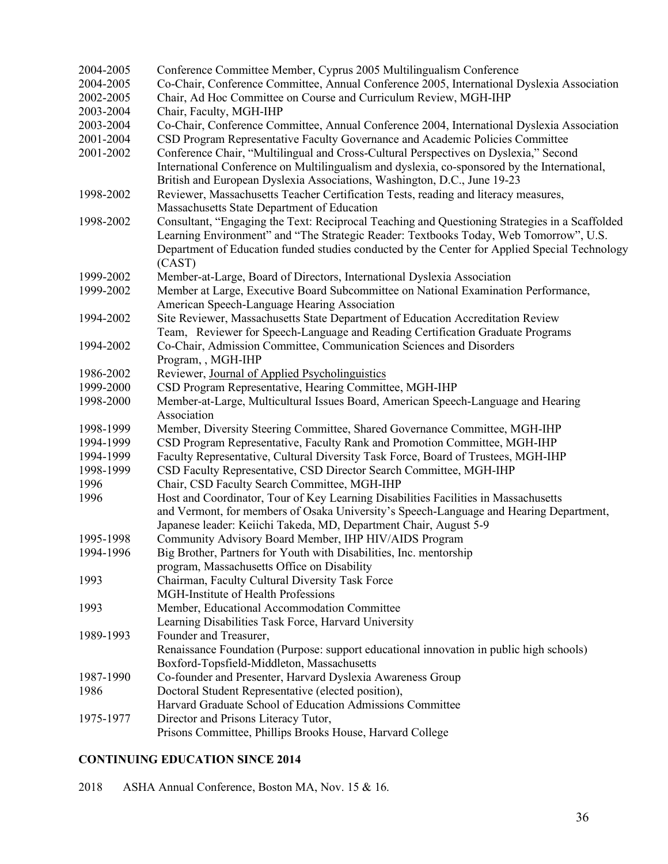| 2004-2005 | Conference Committee Member, Cyprus 2005 Multilingualism Conference                                                                                                                     |
|-----------|-----------------------------------------------------------------------------------------------------------------------------------------------------------------------------------------|
| 2004-2005 | Co-Chair, Conference Committee, Annual Conference 2005, International Dyslexia Association                                                                                              |
| 2002-2005 | Chair, Ad Hoc Committee on Course and Curriculum Review, MGH-IHP                                                                                                                        |
| 2003-2004 | Chair, Faculty, MGH-IHP                                                                                                                                                                 |
| 2003-2004 | Co-Chair, Conference Committee, Annual Conference 2004, International Dyslexia Association                                                                                              |
| 2001-2004 | CSD Program Representative Faculty Governance and Academic Policies Committee                                                                                                           |
| 2001-2002 | Conference Chair, "Multilingual and Cross-Cultural Perspectives on Dyslexia," Second                                                                                                    |
|           | International Conference on Multilingualism and dyslexia, co-sponsored by the International,                                                                                            |
|           | British and European Dyslexia Associations, Washington, D.C., June 19-23                                                                                                                |
| 1998-2002 | Reviewer, Massachusetts Teacher Certification Tests, reading and literacy measures,                                                                                                     |
|           |                                                                                                                                                                                         |
| 1998-2002 | Massachusetts State Department of Education                                                                                                                                             |
|           | Consultant, "Engaging the Text: Reciprocal Teaching and Questioning Strategies in a Scaffolded<br>Learning Environment" and "The Strategic Reader: Textbooks Today, Web Tomorrow", U.S. |
|           |                                                                                                                                                                                         |
|           | Department of Education funded studies conducted by the Center for Applied Special Technology                                                                                           |
|           | (CAST)                                                                                                                                                                                  |
| 1999-2002 | Member-at-Large, Board of Directors, International Dyslexia Association                                                                                                                 |
| 1999-2002 | Member at Large, Executive Board Subcommittee on National Examination Performance,                                                                                                      |
|           | American Speech-Language Hearing Association                                                                                                                                            |
| 1994-2002 | Site Reviewer, Massachusetts State Department of Education Accreditation Review                                                                                                         |
|           | Team, Reviewer for Speech-Language and Reading Certification Graduate Programs                                                                                                          |
| 1994-2002 | Co-Chair, Admission Committee, Communication Sciences and Disorders                                                                                                                     |
|           | Program, , MGH-IHP                                                                                                                                                                      |
| 1986-2002 | Reviewer, Journal of Applied Psycholinguistics                                                                                                                                          |
| 1999-2000 | CSD Program Representative, Hearing Committee, MGH-IHP                                                                                                                                  |
| 1998-2000 | Member-at-Large, Multicultural Issues Board, American Speech-Language and Hearing                                                                                                       |
|           | Association                                                                                                                                                                             |
| 1998-1999 | Member, Diversity Steering Committee, Shared Governance Committee, MGH-IHP                                                                                                              |
| 1994-1999 | CSD Program Representative, Faculty Rank and Promotion Committee, MGH-IHP                                                                                                               |
| 1994-1999 | Faculty Representative, Cultural Diversity Task Force, Board of Trustees, MGH-IHP                                                                                                       |
| 1998-1999 | CSD Faculty Representative, CSD Director Search Committee, MGH-IHP                                                                                                                      |
| 1996      | Chair, CSD Faculty Search Committee, MGH-IHP                                                                                                                                            |
| 1996      | Host and Coordinator, Tour of Key Learning Disabilities Facilities in Massachusetts                                                                                                     |
|           | and Vermont, for members of Osaka University's Speech-Language and Hearing Department,                                                                                                  |
|           | Japanese leader: Keiichi Takeda, MD, Department Chair, August 5-9                                                                                                                       |
| 1995-1998 | Community Advisory Board Member, IHP HIV/AIDS Program                                                                                                                                   |
| 1994-1996 | Big Brother, Partners for Youth with Disabilities, Inc. mentorship                                                                                                                      |
|           | program, Massachusetts Office on Disability                                                                                                                                             |
| 1993      | Chairman, Faculty Cultural Diversity Task Force                                                                                                                                         |
|           | MGH-Institute of Health Professions                                                                                                                                                     |
| 1993      | Member, Educational Accommodation Committee                                                                                                                                             |
|           | Learning Disabilities Task Force, Harvard University                                                                                                                                    |
| 1989-1993 | Founder and Treasurer,                                                                                                                                                                  |
|           | Renaissance Foundation (Purpose: support educational innovation in public high schools)                                                                                                 |
|           | Boxford-Topsfield-Middleton, Massachusetts                                                                                                                                              |
| 1987-1990 | Co-founder and Presenter, Harvard Dyslexia Awareness Group                                                                                                                              |
| 1986      | Doctoral Student Representative (elected position),                                                                                                                                     |
|           | Harvard Graduate School of Education Admissions Committee                                                                                                                               |
| 1975-1977 | Director and Prisons Literacy Tutor,                                                                                                                                                    |
|           | Prisons Committee, Phillips Brooks House, Harvard College                                                                                                                               |

# **CONTINUING EDUCATION SINCE 2014**

2018 ASHA Annual Conference, Boston MA, Nov. 15 & 16.